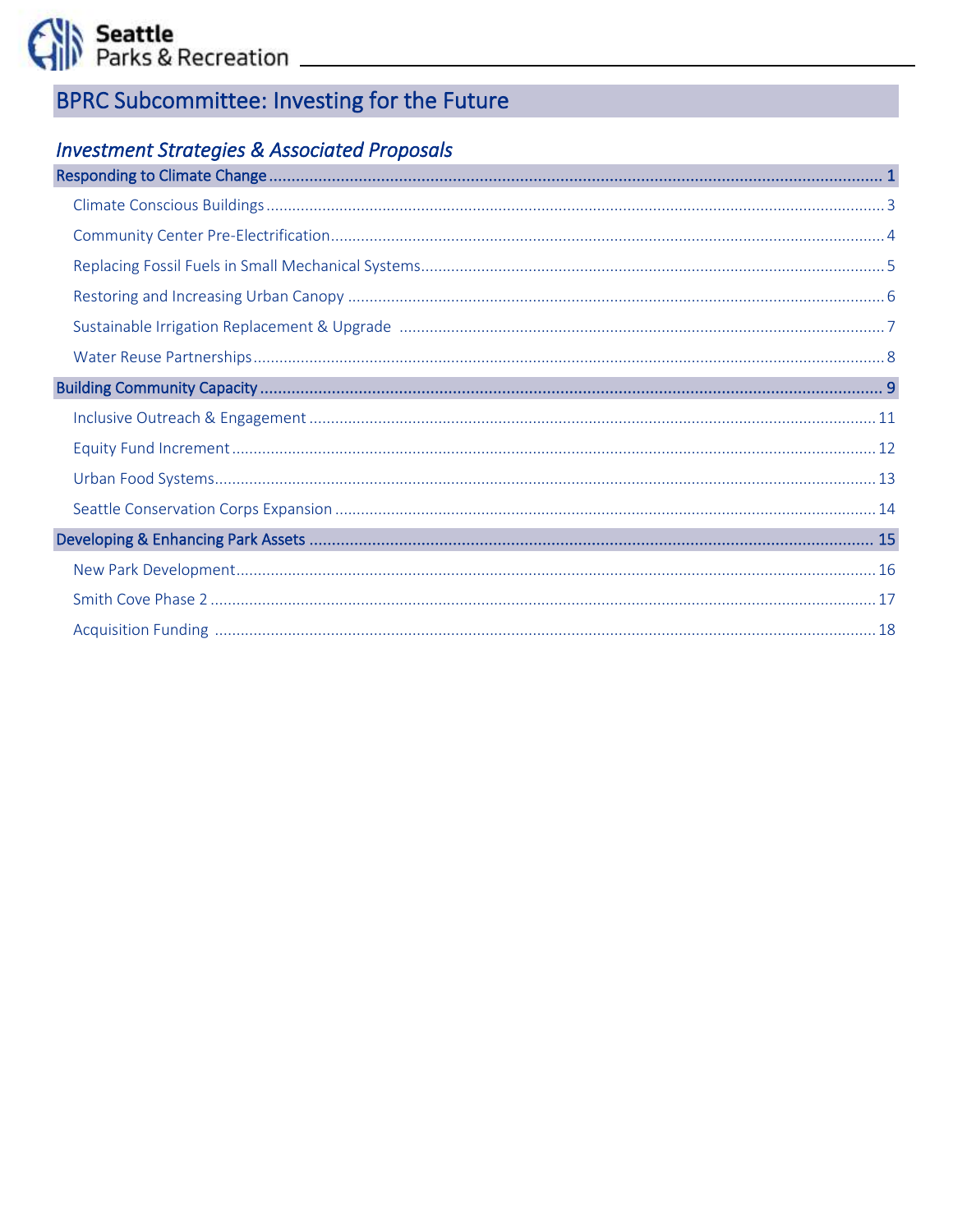Seattle<br>(1) Parks & Recreation

# **BPRC Subcommittee: Investing for the Future**

# **Investment Strategies & Associated Proposals**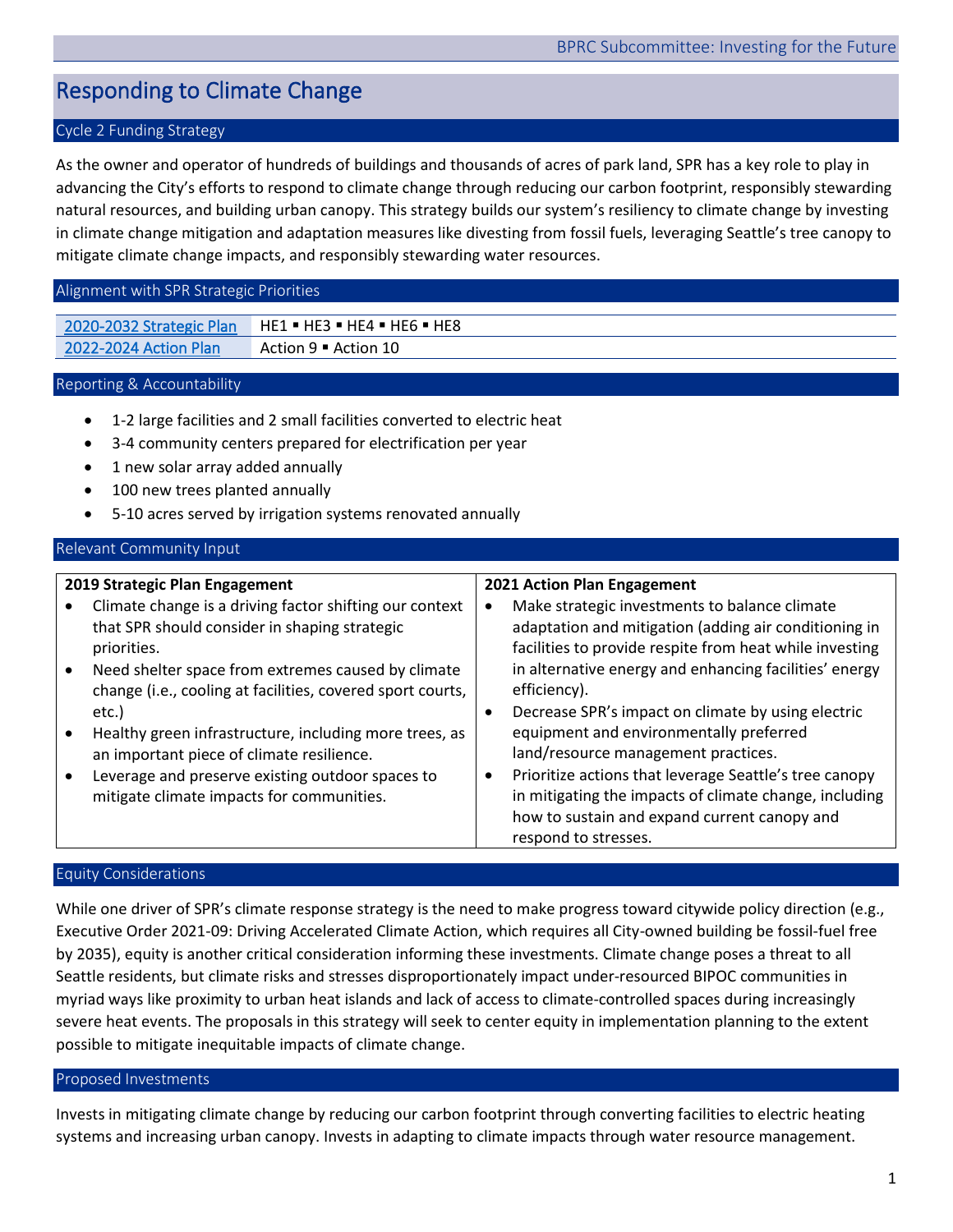# <span id="page-1-0"></span>Responding to Climate Change

# Cycle 2 Funding Strategy

As the owner and operator of hundreds of buildings and thousands of acres of park land, SPR has a key role to play in advancing the City's efforts to respond to climate change through reducing our carbon footprint, responsibly stewarding natural resources, and building urban canopy. This strategy builds our system's resiliency to climate change by investing in climate change mitigation and adaptation measures like divesting from fossil fuels, leveraging Seattle's tree canopy to mitigate climate change impacts, and responsibly stewarding water resources.

#### Alignment with SPR Strategic Priorities

[2020-2032 Strategic Plan](https://www.seattle.gov/Documents/Departments/ParksAndRecreation/PoliciesPlanning/SPR_Strategic_Plan.03.27.2020.pdf) HE1 . HE3 . HE4 . HE6 . HE8 [2022-2024 Action Plan](https://www.seattle.gov/Documents/Departments/ParksAndRecreation/BRPC/2022-2024%20Action%20Plan_031022.pdf) Action 9 · Action 10

## Reporting & Accountability

- 1-2 large facilities and 2 small facilities converted to electric heat
- 3-4 community centers prepared for electrification per year
- 1 new solar array added annually
- 100 new trees planted annually
- 5-10 acres served by irrigation systems renovated annually

## Relevant Community Input

# **2019 Strategic Plan Engagement** • Climate change is a driving factor shifting our context that SPR should consider in shaping strategic priorities. • Need shelter space from extremes caused by climate

- change (i.e., cooling at facilities, covered sport courts, etc.)
- Healthy green infrastructure, including more trees, as an important piece of climate resilience.
- Leverage and preserve existing outdoor spaces to mitigate climate impacts for communities.

#### **2021 Action Plan Engagement**

- Make strategic investments to balance climate adaptation and mitigation (adding air conditioning in facilities to provide respite from heat while investing in alternative energy and enhancing facilities' energy efficiency).
- Decrease SPR's impact on climate by using electric equipment and environmentally preferred land/resource management practices.
- Prioritize actions that leverage Seattle's tree canopy in mitigating the impacts of climate change, including how to sustain and expand current canopy and respond to stresses.

## Equity Considerations

While one driver of SPR's climate response strategy is the need to make progress toward citywide policy direction (e.g., Executive Order 2021-09: Driving Accelerated Climate Action, which requires all City-owned building be fossil-fuel free by 2035), equity is another critical consideration informing these investments. Climate change poses a threat to all Seattle residents, but climate risks and stresses disproportionately impact under-resourced BIPOC communities in myriad ways like proximity to urban heat islands and lack of access to climate-controlled spaces during increasingly severe heat events. The proposals in this strategy will seek to center equity in implementation planning to the extent possible to mitigate inequitable impacts of climate change.

#### Proposed Investments

Invests in mitigating climate change by reducing our carbon footprint through converting facilities to electric heating systems and increasing urban canopy. Invests in adapting to climate impacts through water resource management.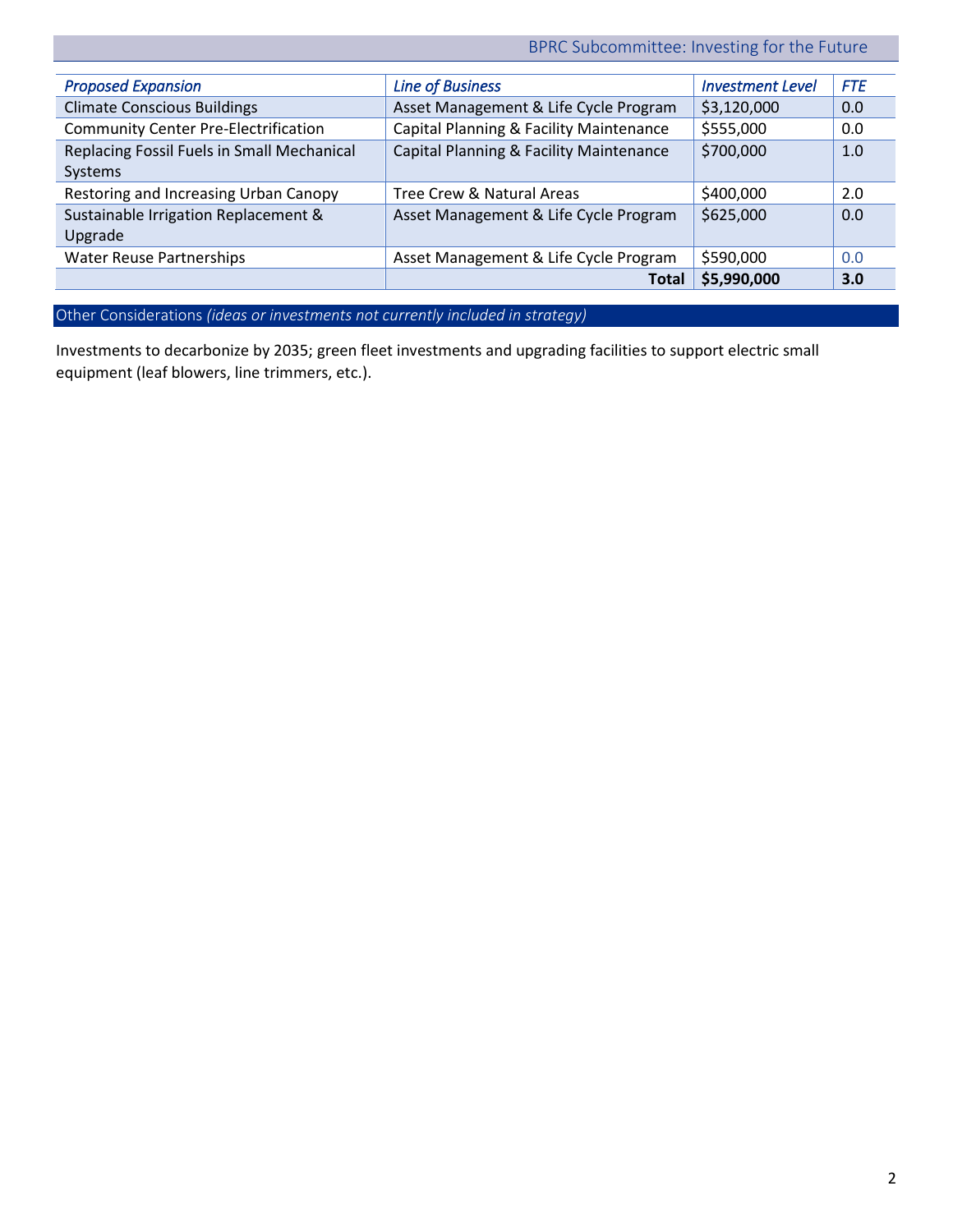BPRC Subcommittee: Investing for the Future

| <b>Proposed Expansion</b>                   | <b>Line of Business</b>                 | <b>Investment Level</b> | <b>FTE</b> |
|---------------------------------------------|-----------------------------------------|-------------------------|------------|
| <b>Climate Conscious Buildings</b>          | Asset Management & Life Cycle Program   | \$3,120,000             | 0.0        |
| <b>Community Center Pre-Electrification</b> | Capital Planning & Facility Maintenance | \$555,000               | 0.0        |
| Replacing Fossil Fuels in Small Mechanical  | Capital Planning & Facility Maintenance | \$700,000               | 1.0        |
| Systems                                     |                                         |                         |            |
| Restoring and Increasing Urban Canopy       | Tree Crew & Natural Areas               | \$400,000               | 2.0        |
| Sustainable Irrigation Replacement &        | Asset Management & Life Cycle Program   | \$625,000               | 0.0        |
| Upgrade                                     |                                         |                         |            |
| <b>Water Reuse Partnerships</b>             | Asset Management & Life Cycle Program   | \$590,000               | 0.0        |
|                                             | <b>Total</b>                            | \$5,990,000             | 3.0        |

Other Considerations *(ideas or investments not currently included in strategy)* 

Investments to decarbonize by 2035; green fleet investments and upgrading facilities to support electric small equipment (leaf blowers, line trimmers, etc.).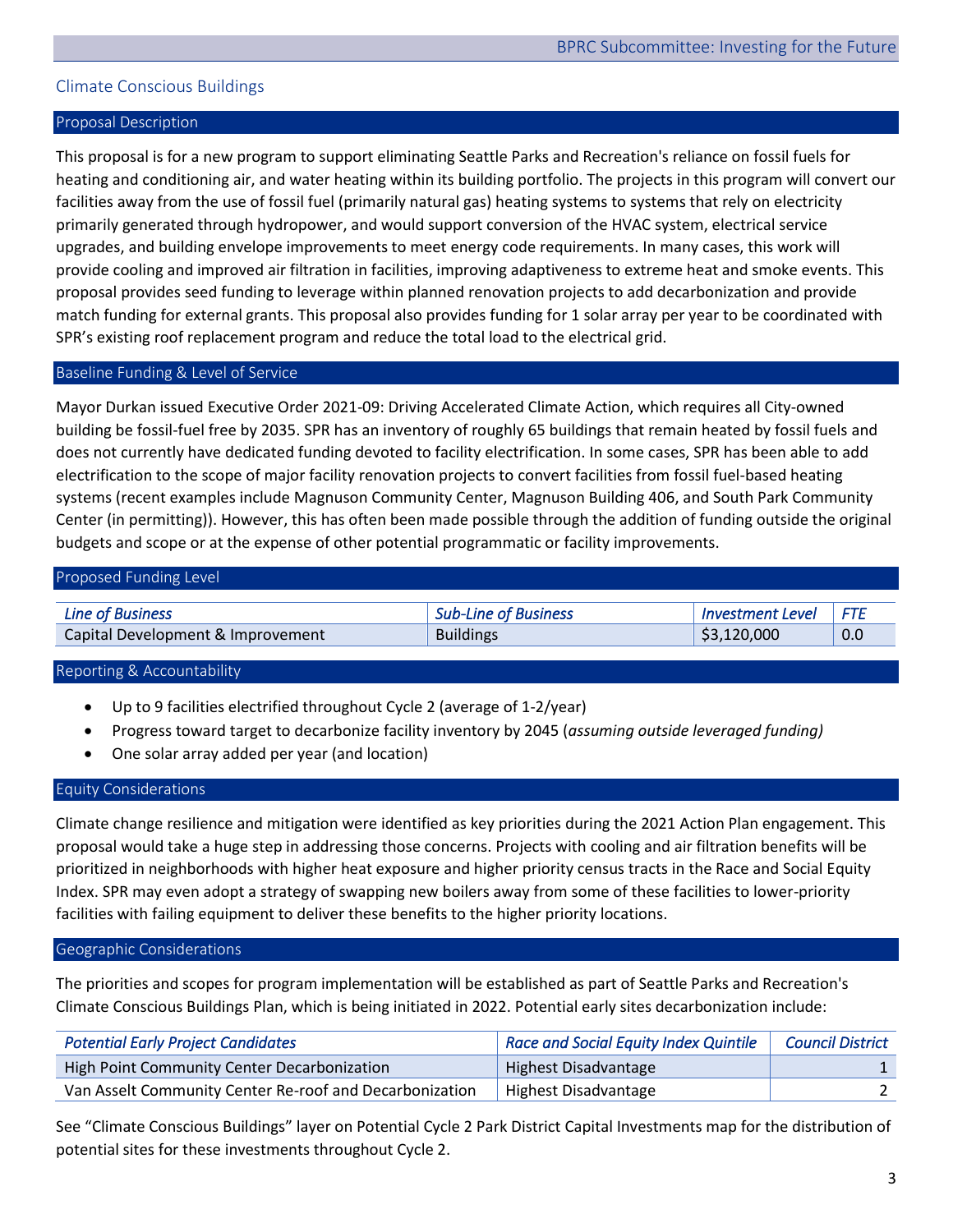# <span id="page-3-0"></span>Climate Conscious Buildings

#### Proposal Description

This proposal is for a new program to support eliminating Seattle Parks and Recreation's reliance on fossil fuels for heating and conditioning air, and water heating within its building portfolio. The projects in this program will convert our facilities away from the use of fossil fuel (primarily natural gas) heating systems to systems that rely on electricity primarily generated through hydropower, and would support conversion of the HVAC system, electrical service upgrades, and building envelope improvements to meet energy code requirements. In many cases, this work will provide cooling and improved air filtration in facilities, improving adaptiveness to extreme heat and smoke events. This proposal provides seed funding to leverage within planned renovation projects to add decarbonization and provide match funding for external grants. This proposal also provides funding for 1 solar array per year to be coordinated with SPR's existing roof replacement program and reduce the total load to the electrical grid.

## Baseline Funding & Level of Service

Mayor Durkan issued Executive Order 2021-09: Driving Accelerated Climate Action, which requires all City-owned building be fossil-fuel free by 2035. SPR has an inventory of roughly 65 buildings that remain heated by fossil fuels and does not currently have dedicated funding devoted to facility electrification. In some cases, SPR has been able to add electrification to the scope of major facility renovation projects to convert facilities from fossil fuel-based heating systems (recent examples include Magnuson Community Center, Magnuson Building 406, and South Park Community Center (in permitting)). However, this has often been made possible through the addition of funding outside the original budgets and scope or at the expense of other potential programmatic or facility improvements.

| Proposed Funding Level            |                             |                         |            |
|-----------------------------------|-----------------------------|-------------------------|------------|
| <b>Line of Business</b>           | <b>Sub-Line of Business</b> | <b>Investment Level</b> | <b>FTF</b> |
| Capital Development & Improvement | <b>Buildings</b>            | \$3,120,000             | 0.0        |

#### Reporting & Accountability

- Up to 9 facilities electrified throughout Cycle 2 (average of 1-2/year)
- Progress toward target to decarbonize facility inventory by 2045 (*assuming outside leveraged funding)*
- One solar array added per year (and location)

# Equity Considerations

Climate change resilience and mitigation were identified as key priorities during the 2021 Action Plan engagement. This proposal would take a huge step in addressing those concerns. Projects with cooling and air filtration benefits will be prioritized in neighborhoods with higher heat exposure and higher priority census tracts in the Race and Social Equity Index. SPR may even adopt a strategy of swapping new boilers away from some of these facilities to lower-priority facilities with failing equipment to deliver these benefits to the higher priority locations.

#### Geographic Considerations

The priorities and scopes for program implementation will be established as part of Seattle Parks and Recreation's Climate Conscious Buildings Plan, which is being initiated in 2022. Potential early sites decarbonization include:

| <b>Potential Early Project Candidates</b>               | Race and Social Equity Index Quintile | <b>Council District</b> |
|---------------------------------------------------------|---------------------------------------|-------------------------|
| High Point Community Center Decarbonization             | Highest Disadvantage                  |                         |
| Van Asselt Community Center Re-roof and Decarbonization | Highest Disadvantage                  |                         |

See "Climate Conscious Buildings" layer on Potential Cycle 2 Park District Capital Investments map for the distribution of potential sites for these investments throughout Cycle 2.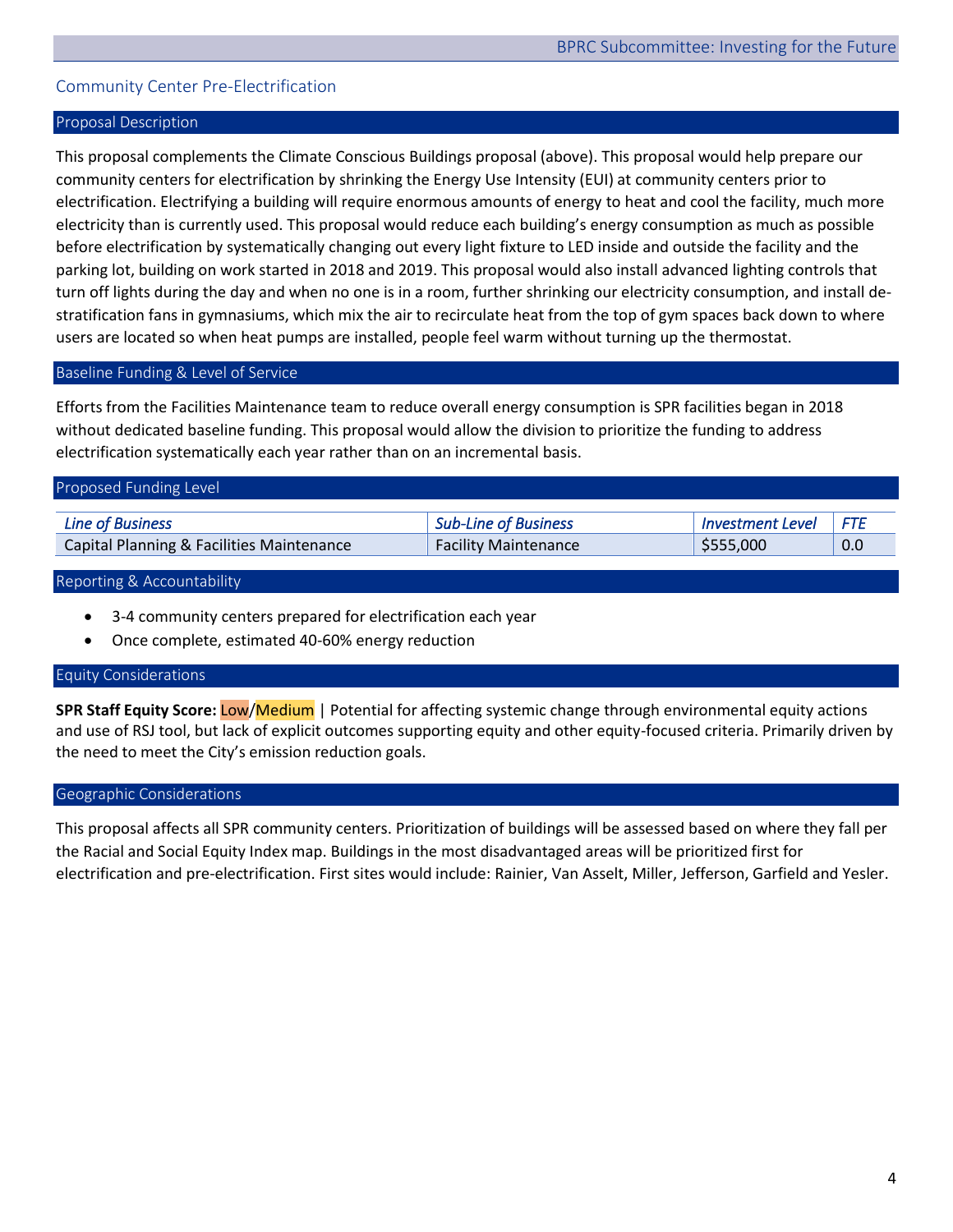# <span id="page-4-0"></span>Community Center Pre-Electrification

## Proposal Description

This proposal complements the Climate Conscious Buildings proposal (above). This proposal would help prepare our community centers for electrification by shrinking the Energy Use Intensity (EUI) at community centers prior to electrification. Electrifying a building will require enormous amounts of energy to heat and cool the facility, much more electricity than is currently used. This proposal would reduce each building's energy consumption as much as possible before electrification by systematically changing out every light fixture to LED inside and outside the facility and the parking lot, building on work started in 2018 and 2019. This proposal would also install advanced lighting controls that turn off lights during the day and when no one is in a room, further shrinking our electricity consumption, and install destratification fans in gymnasiums, which mix the air to recirculate heat from the top of gym spaces back down to where users are located so when heat pumps are installed, people feel warm without turning up the thermostat.

## Baseline Funding & Level of Service

Efforts from the Facilities Maintenance team to reduce overall energy consumption is SPR facilities began in 2018 without dedicated baseline funding. This proposal would allow the division to prioritize the funding to address electrification systematically each year rather than on an incremental basis.

| Proposed Funding Level                               |                             |                         |      |
|------------------------------------------------------|-----------------------------|-------------------------|------|
| <b>Line of Business</b>                              | <b>Sub-Line of Business</b> | <b>Investment Level</b> | ⊩FTE |
| <b>Capital Planning &amp; Facilities Maintenance</b> | <b>Facility Maintenance</b> | \$555,000               | 0.0  |

#### Reporting & Accountability

- 3-4 community centers prepared for electrification each year
- Once complete, estimated 40-60% energy reduction

#### Equity Considerations

**SPR Staff Equity Score:** Low/Medium | Potential for affecting systemic change through environmental equity actions and use of RSJ tool, but lack of explicit outcomes supporting equity and other equity-focused criteria. Primarily driven by the need to meet the City's emission reduction goals.

#### Geographic Considerations

This proposal affects all SPR community centers. Prioritization of buildings will be assessed based on where they fall per the Racial and Social Equity Index map. Buildings in the most disadvantaged areas will be prioritized first for electrification and pre-electrification. First sites would include: Rainier, Van Asselt, Miller, Jefferson, Garfield and Yesler.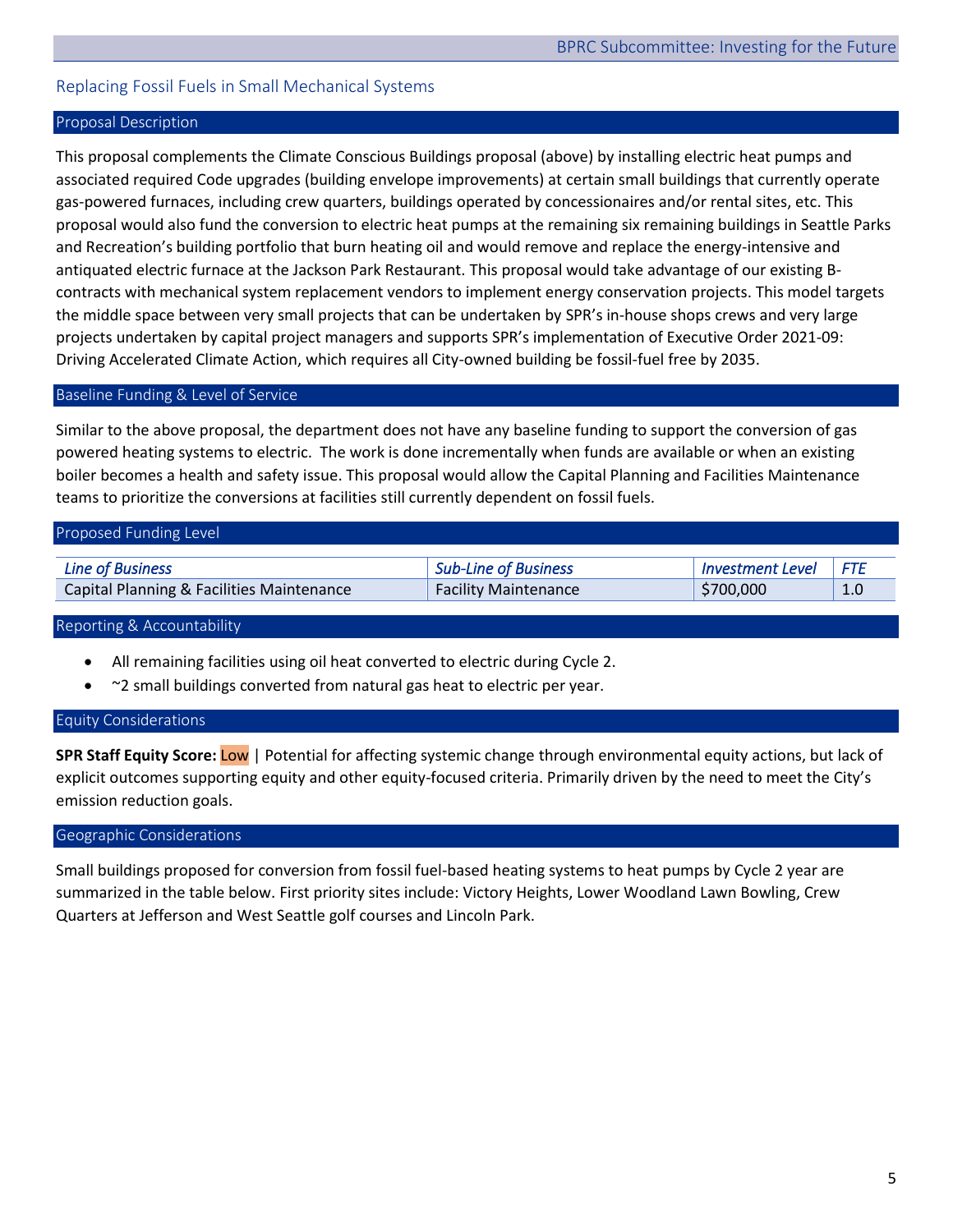# <span id="page-5-0"></span>Replacing Fossil Fuels in Small Mechanical Systems

## Proposal Description

This proposal complements the Climate Conscious Buildings proposal (above) by installing electric heat pumps and associated required Code upgrades (building envelope improvements) at certain small buildings that currently operate gas-powered furnaces, including crew quarters, buildings operated by concessionaires and/or rental sites, etc. This proposal would also fund the conversion to electric heat pumps at the remaining six remaining buildings in Seattle Parks and Recreation's building portfolio that burn heating oil and would remove and replace the energy-intensive and antiquated electric furnace at the Jackson Park Restaurant. This proposal would take advantage of our existing Bcontracts with mechanical system replacement vendors to implement energy conservation projects. This model targets the middle space between very small projects that can be undertaken by SPR's in-house shops crews and very large projects undertaken by capital project managers and supports SPR's implementation of Executive Order 2021-09: Driving Accelerated Climate Action, which requires all City-owned building be fossil-fuel free by 2035.

#### Baseline Funding & Level of Service

Similar to the above proposal, the department does not have any baseline funding to support the conversion of gas powered heating systems to electric. The work is done incrementally when funds are available or when an existing boiler becomes a health and safety issue. This proposal would allow the Capital Planning and Facilities Maintenance teams to prioritize the conversions at facilities still currently dependent on fossil fuels.

| Proposed Funding Level                    |                             |                         |     |
|-------------------------------------------|-----------------------------|-------------------------|-----|
| <b>Line of Business</b>                   | <b>Sub-Line of Business</b> | <b>Investment Level</b> | FTF |
| Capital Planning & Facilities Maintenance | <b>Facility Maintenance</b> | \$700,000               | 1.0 |

#### Reporting & Accountability

- All remaining facilities using oil heat converted to electric during Cycle 2.
- ~2 small buildings converted from natural gas heat to electric per year.

#### Equity Considerations

**SPR Staff Equity Score:** Low | Potential for affecting systemic change through environmental equity actions, but lack of explicit outcomes supporting equity and other equity-focused criteria. Primarily driven by the need to meet the City's emission reduction goals.

#### Geographic Considerations

Small buildings proposed for conversion from fossil fuel-based heating systems to heat pumps by Cycle 2 year are summarized in the table below. First priority sites include: Victory Heights, Lower Woodland Lawn Bowling, Crew Quarters at Jefferson and West Seattle golf courses and Lincoln Park.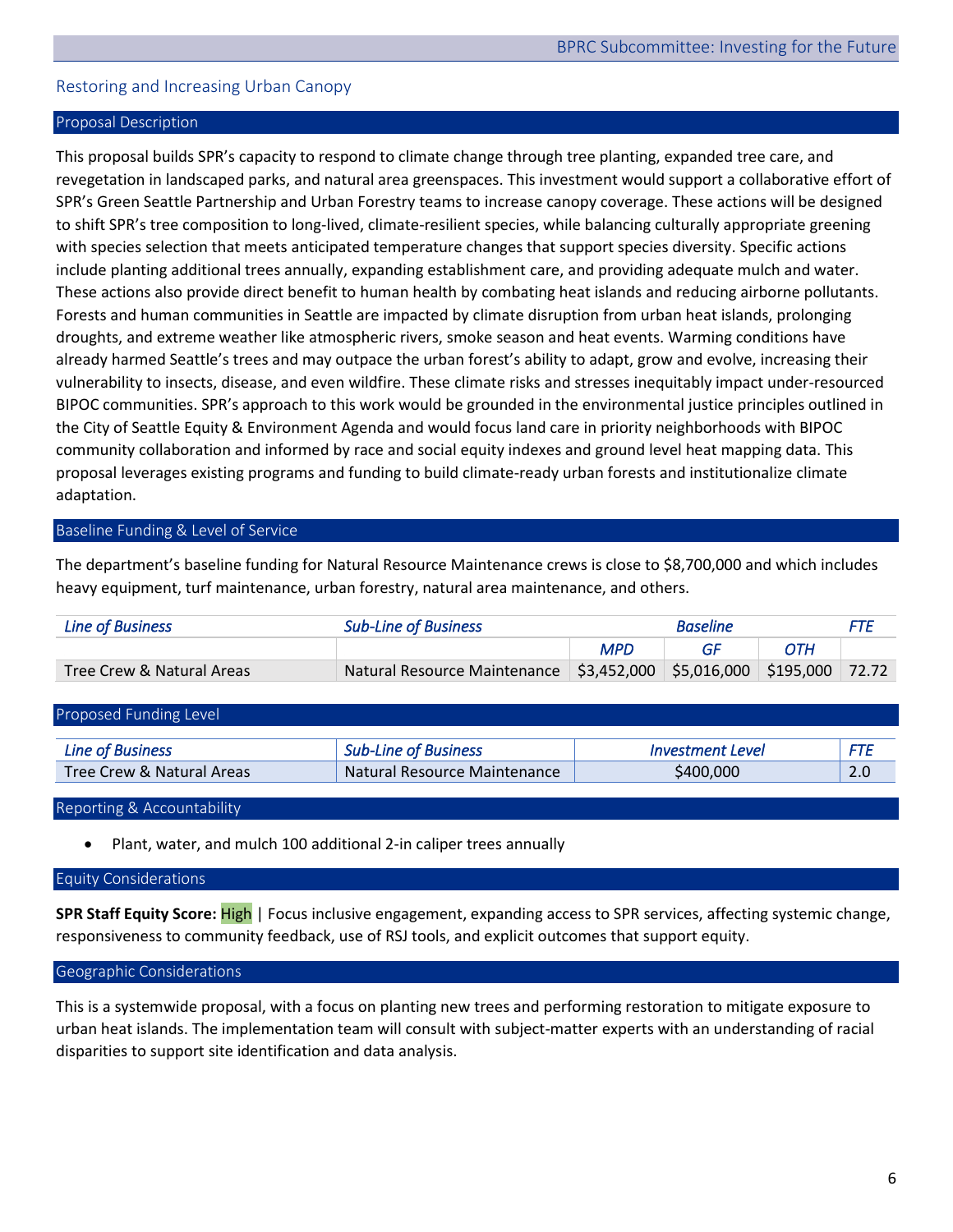# <span id="page-6-0"></span>Restoring and Increasing Urban Canopy

## Proposal Description

This proposal builds SPR's capacity to respond to climate change through tree planting, expanded tree care, and revegetation in landscaped parks, and natural area greenspaces. This investment would support a collaborative effort of SPR's Green Seattle Partnership and Urban Forestry teams to increase canopy coverage. These actions will be designed to shift SPR's tree composition to long-lived, climate-resilient species, while balancing culturally appropriate greening with species selection that meets anticipated temperature changes that support species diversity. Specific actions include planting additional trees annually, expanding establishment care, and providing adequate mulch and water. These actions also provide direct benefit to human health by combating heat islands and reducing airborne pollutants. Forests and human communities in Seattle are impacted by climate disruption from urban heat islands, prolonging droughts, and extreme weather like atmospheric rivers, smoke season and heat events. Warming conditions have already harmed Seattle's trees and may outpace the urban forest's ability to adapt, grow and evolve, increasing their vulnerability to insects, disease, and even wildfire. These climate risks and stresses inequitably impact under-resourced BIPOC communities. SPR's approach to this work would be grounded in the environmental justice principles outlined in the City of Seattle Equity & Environment Agenda and would focus land care in priority neighborhoods with BIPOC community collaboration and informed by race and social equity indexes and ground level heat mapping data. This proposal leverages existing programs and funding to build climate-ready urban forests and institutionalize climate adaptation.

# Baseline Funding & Level of Service

The department's baseline funding for Natural Resource Maintenance crews is close to \$8,700,000 and which includes heavy equipment, turf maintenance, urban forestry, natural area maintenance, and others.

| Line of Business          | <b>Sub-Line of Business</b>                                          |            | <b>Baseline</b> |     | <i>FTE</i> |
|---------------------------|----------------------------------------------------------------------|------------|-----------------|-----|------------|
|                           |                                                                      | <b>MPD</b> | GE              | OTH |            |
| Tree Crew & Natural Areas | Natural Resource Maintenance \$3,452,000 \$5,016,000 \$195,000 72.72 |            |                 |     |            |

| Proposed Funding Level    |                              |                         |     |
|---------------------------|------------------------------|-------------------------|-----|
| <b>Line of Business</b>   | <b>Sub-Line of Business</b>  | <i>Investment Level</i> | FTE |
| Tree Crew & Natural Areas | Natural Resource Maintenance | \$400,000               | 2.0 |

#### Reporting & Accountability

• Plant, water, and mulch 100 additional 2-in caliper trees annually

#### Equity Considerations

**SPR Staff Equity Score:** High | Focus inclusive engagement, expanding access to SPR services, affecting systemic change, responsiveness to community feedback, use of RSJ tools, and explicit outcomes that support equity.

#### Geographic Considerations

This is a systemwide proposal, with a focus on planting new trees and performing restoration to mitigate exposure to urban heat islands. The implementation team will consult with subject-matter experts with an understanding of racial disparities to support site identification and data analysis.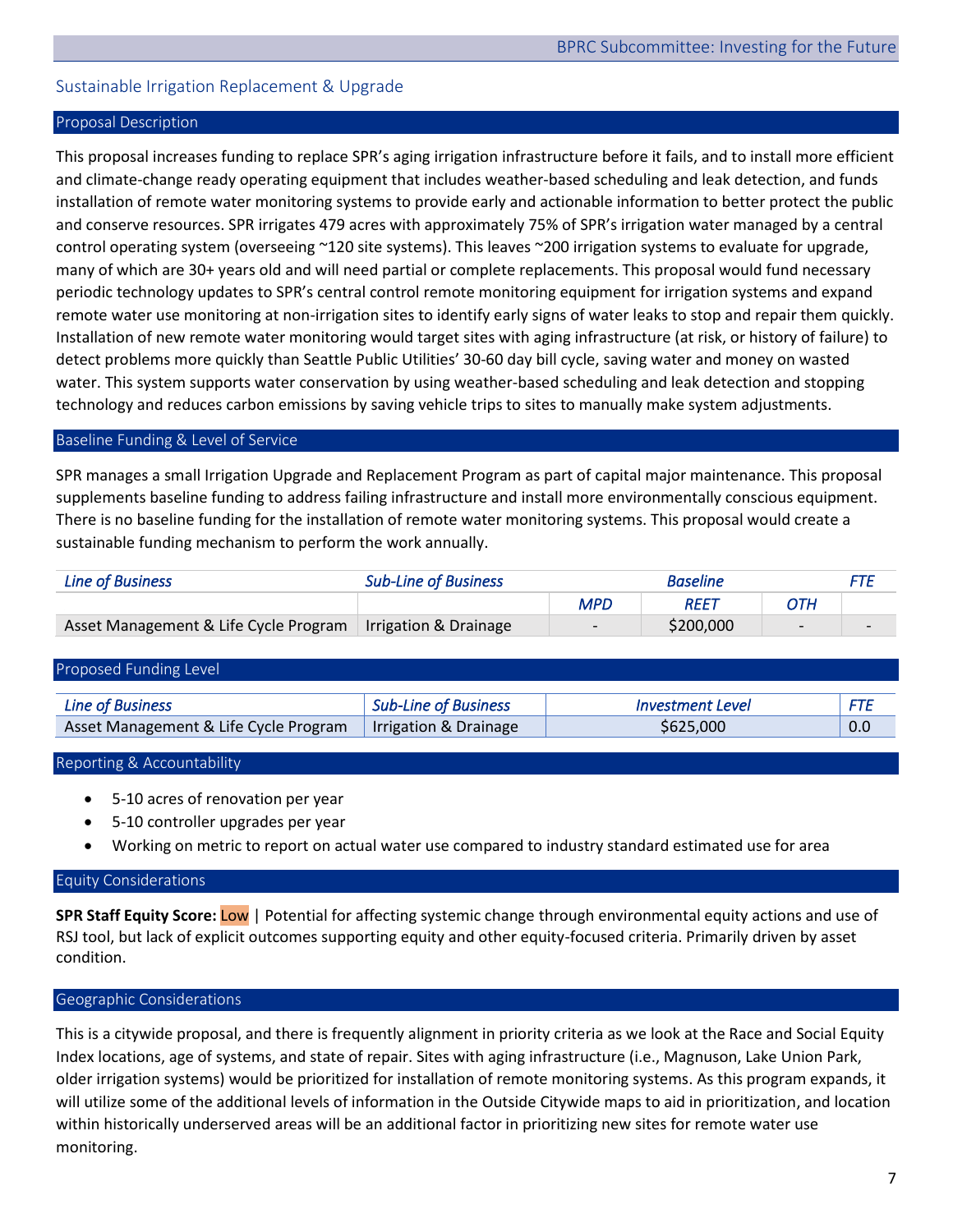# <span id="page-7-0"></span>Sustainable Irrigation Replacement & Upgrade

## Proposal Description

This proposal increases funding to replace SPR's aging irrigation infrastructure before it fails, and to install more efficient and climate-change ready operating equipment that includes weather-based scheduling and leak detection, and funds installation of remote water monitoring systems to provide early and actionable information to better protect the public and conserve resources. SPR irrigates 479 acres with approximately 75% of SPR's irrigation water managed by a central control operating system (overseeing ~120 site systems). This leaves ~200 irrigation systems to evaluate for upgrade, many of which are 30+ years old and will need partial or complete replacements. This proposal would fund necessary periodic technology updates to SPR's central control remote monitoring equipment for irrigation systems and expand remote water use monitoring at non-irrigation sites to identify early signs of water leaks to stop and repair them quickly. Installation of new remote water monitoring would target sites with aging infrastructure (at risk, or history of failure) to detect problems more quickly than Seattle Public Utilities' 30-60 day bill cycle, saving water and money on wasted water. This system supports water conservation by using weather-based scheduling and leak detection and stopping technology and reduces carbon emissions by saving vehicle trips to sites to manually make system adjustments.

#### Baseline Funding & Level of Service

SPR manages a small Irrigation Upgrade and Replacement Program as part of capital major maintenance. This proposal supplements baseline funding to address failing infrastructure and install more environmentally conscious equipment. There is no baseline funding for the installation of remote water monitoring systems. This proposal would create a sustainable funding mechanism to perform the work annually.

| Line of Business                      | <b>Sub-Line of Business</b> |     | <b>Baseline</b> |                          |                          |
|---------------------------------------|-----------------------------|-----|-----------------|--------------------------|--------------------------|
|                                       |                             | MPD | REET            | ОТН                      |                          |
| Asset Management & Life Cycle Program | Irrigation & Drainage       |     | \$200,000       | $\overline{\phantom{0}}$ | $\overline{\phantom{0}}$ |

# Proposed Funding Level *Line of Business Sub-Line of Business Investment Level FTE*  Asset Management & Life Cycle Program | Irrigation & Drainage | \$625,000  $\vert$  0.0

#### Reporting & Accountability

- 5-10 acres of renovation per year
- 5-10 controller upgrades per year
- Working on metric to report on actual water use compared to industry standard estimated use for area

#### Equity Considerations

**SPR Staff Equity Score:** Low | Potential for affecting systemic change through environmental equity actions and use of RSJ tool, but lack of explicit outcomes supporting equity and other equity-focused criteria. Primarily driven by asset condition.

#### Geographic Considerations

This is a citywide proposal, and there is frequently alignment in priority criteria as we look at the Race and Social Equity Index locations, age of systems, and state of repair. Sites with aging infrastructure (i.e., Magnuson, Lake Union Park, older irrigation systems) would be prioritized for installation of remote monitoring systems. As this program expands, it will utilize some of the additional levels of information in the Outside Citywide maps to aid in prioritization, and location within historically underserved areas will be an additional factor in prioritizing new sites for remote water use monitoring.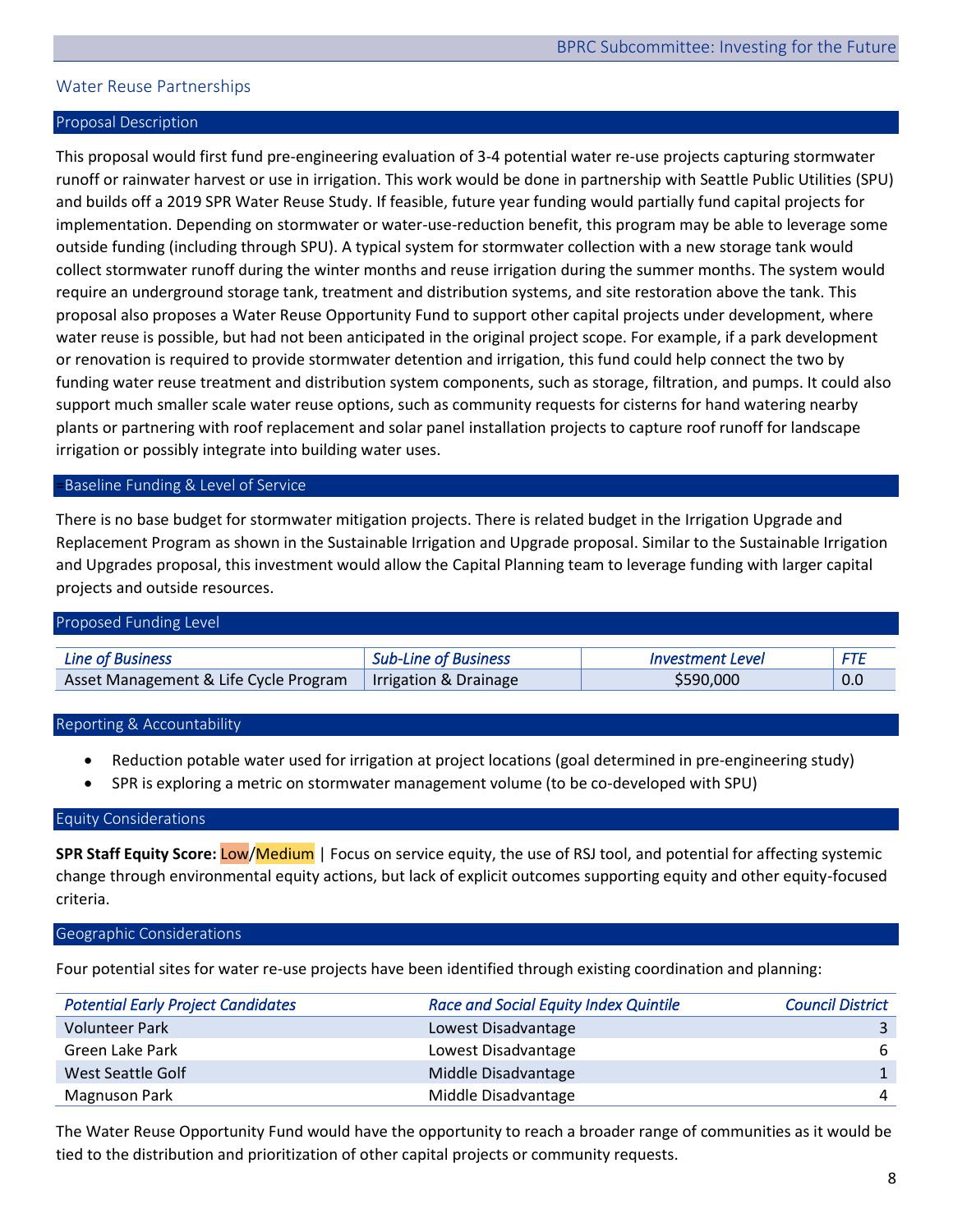# <span id="page-8-0"></span>Water Reuse Partnerships

#### Proposal Description

This proposal would first fund pre-engineering evaluation of 3-4 potential water re-use projects capturing stormwater runoff or rainwater harvest or use in irrigation. This work would be done in partnership with Seattle Public Utilities (SPU) and builds off a 2019 SPR Water Reuse Study. If feasible, future year funding would partially fund capital projects for implementation. Depending on stormwater or water-use-reduction benefit, this program may be able to leverage some outside funding (including through SPU). A typical system for stormwater collection with a new storage tank would collect stormwater runoff during the winter months and reuse irrigation during the summer months. The system would require an underground storage tank, treatment and distribution systems, and site restoration above the tank. This proposal also proposes a Water Reuse Opportunity Fund to support other capital projects under development, where water reuse is possible, but had not been anticipated in the original project scope. For example, if a park development or renovation is required to provide stormwater detention and irrigation, this fund could help connect the two by funding water reuse treatment and distribution system components, such as storage, filtration, and pumps. It could also support much smaller scale water reuse options, such as community requests for cisterns for hand watering nearby plants or partnering with roof replacement and solar panel installation projects to capture roof runoff for landscape irrigation or possibly integrate into building water uses.

#### =Baseline Funding & Level of Service

There is no base budget for stormwater mitigation projects. There is related budget in the Irrigation Upgrade and Replacement Program as shown in the Sustainable Irrigation and Upgrade proposal. Similar to the Sustainable Irrigation and Upgrades proposal, this investment would allow the Capital Planning team to leverage funding with larger capital projects and outside resources.

| Proposed Funding Level                |                             |                                |     |
|---------------------------------------|-----------------------------|--------------------------------|-----|
| Line of Business                      | <b>Sub-Line of Business</b> | <i><b>Investment Level</b></i> | FTF |
| Asset Management & Life Cycle Program | Irrigation & Drainage       | \$590,000                      | 0.0 |

#### Reporting & Accountability

- Reduction potable water used for irrigation at project locations (goal determined in pre-engineering study)
- SPR is exploring a metric on stormwater management volume (to be co-developed with SPU)

#### Equity Considerations

**SPR Staff Equity Score:** Low/Medium | Focus on service equity, the use of RSJ tool, and potential for affecting systemic change through environmental equity actions, but lack of explicit outcomes supporting equity and other equity-focused criteria.

#### Geographic Considerations

Four potential sites for water re-use projects have been identified through existing coordination and planning:

| <b>Potential Early Project Candidates</b> | <b>Race and Social Equity Index Quintile</b> | <b>Council District</b> |
|-------------------------------------------|----------------------------------------------|-------------------------|
| <b>Volunteer Park</b>                     | Lowest Disadvantage                          |                         |
| Green Lake Park                           | Lowest Disadvantage                          | 6                       |
| West Seattle Golf                         | Middle Disadvantage                          |                         |
| <b>Magnuson Park</b>                      | Middle Disadvantage                          | 4                       |

The Water Reuse Opportunity Fund would have the opportunity to reach a broader range of communities as it would be tied to the distribution and prioritization of other capital projects or community requests.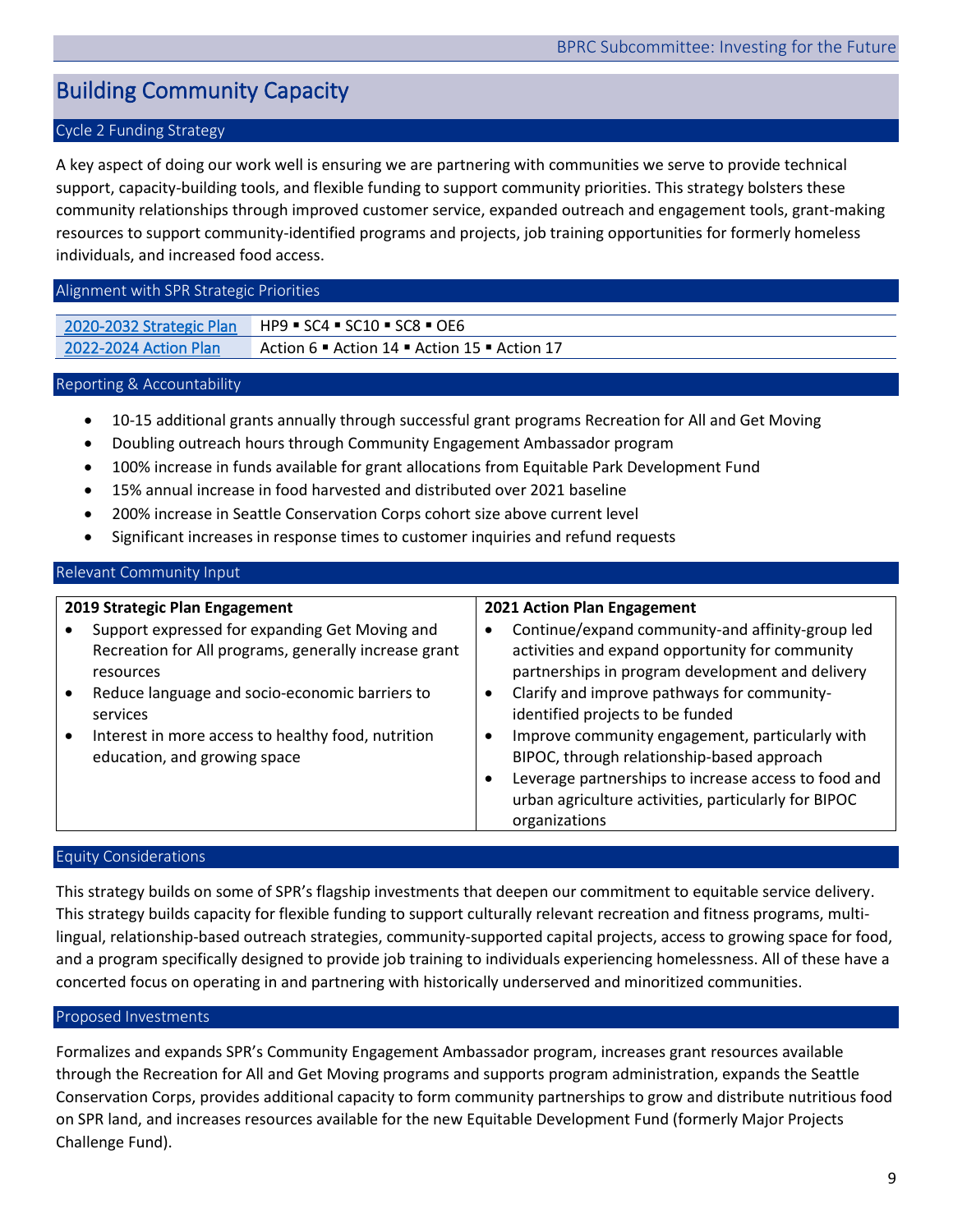# <span id="page-9-0"></span>Building Community Capacity

# Cycle 2 Funding Strategy

A key aspect of doing our work well is ensuring we are partnering with communities we serve to provide technical support, capacity-building tools, and flexible funding to support community priorities. This strategy bolsters these community relationships through improved customer service, expanded outreach and engagement tools, grant-making resources to support community-identified programs and projects, job training opportunities for formerly homeless individuals, and increased food access.

#### Alignment with SPR Strategic Priorities

| 2020-2032 Strategic Plan | $HP9$ = SC4 = SC10 = SC8 = OE6                                       |
|--------------------------|----------------------------------------------------------------------|
| 2022-2024 Action Plan    | Action 6 $\bullet$ Action 14 $\bullet$ Action 15 $\bullet$ Action 17 |

#### Reporting & Accountability

- 10-15 additional grants annually through successful grant programs Recreation for All and Get Moving
- Doubling outreach hours through Community Engagement Ambassador program
- 100% increase in funds available for grant allocations from Equitable Park Development Fund
- 15% annual increase in food harvested and distributed over 2021 baseline
- 200% increase in Seattle Conservation Corps cohort size above current level
- Significant increases in response times to customer inquiries and refund requests

## Relevant Community Input

| 2019 Strategic Plan Engagement                                                                                                                                                                                                                                           | 2021 Action Plan Engagement                                                                                                                                                                                                                                                                                                                                                                                                                                 |
|--------------------------------------------------------------------------------------------------------------------------------------------------------------------------------------------------------------------------------------------------------------------------|-------------------------------------------------------------------------------------------------------------------------------------------------------------------------------------------------------------------------------------------------------------------------------------------------------------------------------------------------------------------------------------------------------------------------------------------------------------|
| Support expressed for expanding Get Moving and<br>Recreation for All programs, generally increase grant<br>resources<br>Reduce language and socio-economic barriers to<br>services<br>Interest in more access to healthy food, nutrition<br>education, and growing space | Continue/expand community-and affinity-group led<br>activities and expand opportunity for community<br>partnerships in program development and delivery<br>Clarify and improve pathways for community-<br>identified projects to be funded<br>Improve community engagement, particularly with<br>BIPOC, through relationship-based approach<br>Leverage partnerships to increase access to food and<br>urban agriculture activities, particularly for BIPOC |
|                                                                                                                                                                                                                                                                          | organizations                                                                                                                                                                                                                                                                                                                                                                                                                                               |

#### Equity Considerations

This strategy builds on some of SPR's flagship investments that deepen our commitment to equitable service delivery. This strategy builds capacity for flexible funding to support culturally relevant recreation and fitness programs, multilingual, relationship-based outreach strategies, community-supported capital projects, access to growing space for food, and a program specifically designed to provide job training to individuals experiencing homelessness. All of these have a concerted focus on operating in and partnering with historically underserved and minoritized communities.

## Proposed Investments

Formalizes and expands SPR's Community Engagement Ambassador program, increases grant resources available through the Recreation for All and Get Moving programs and supports program administration, expands the Seattle Conservation Corps, provides additional capacity to form community partnerships to grow and distribute nutritious food on SPR land, and increases resources available for the new Equitable Development Fund (formerly Major Projects Challenge Fund).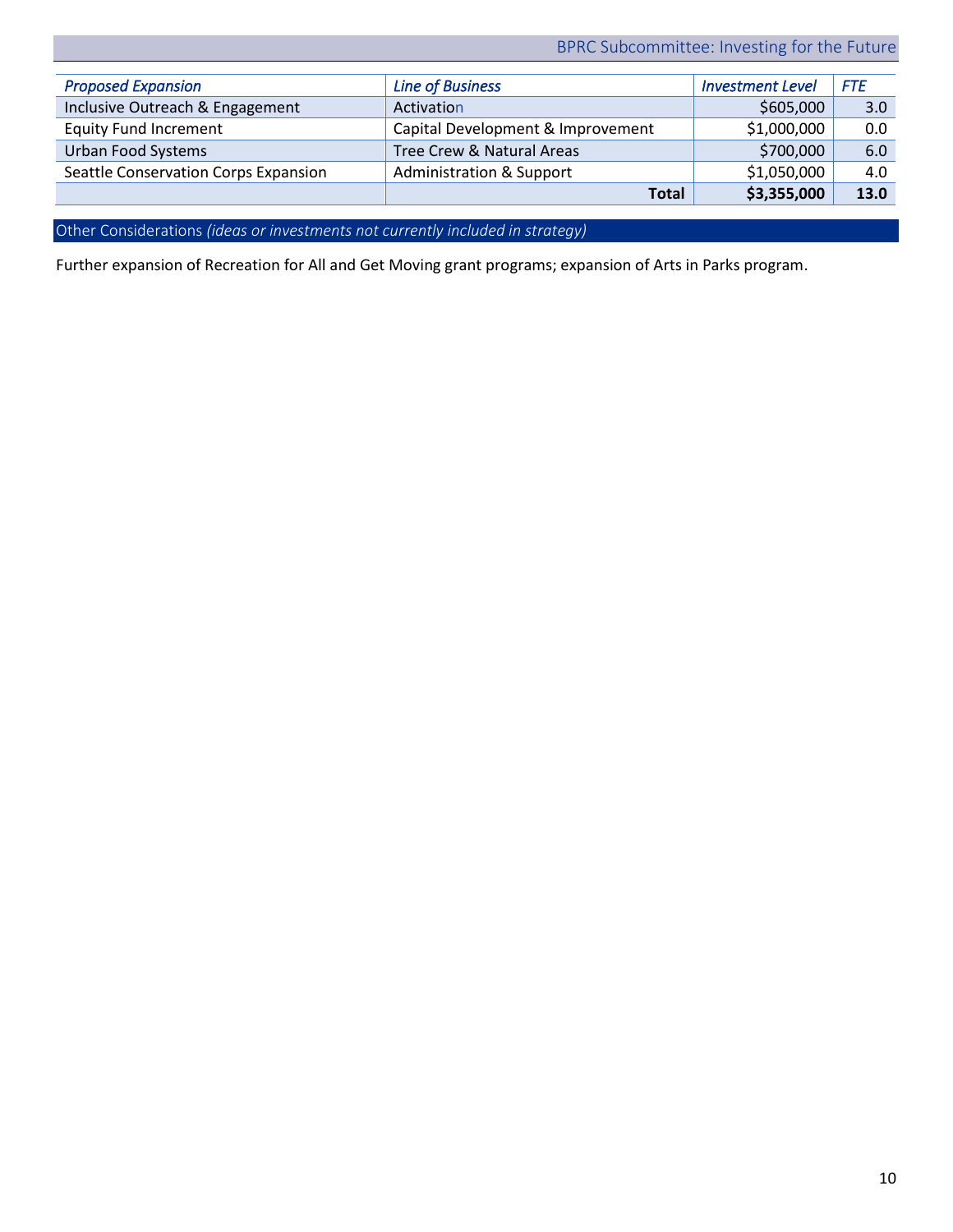|                                      | <b>Total</b>                        | \$3,355,000             | 13.0       |
|--------------------------------------|-------------------------------------|-------------------------|------------|
| Seattle Conservation Corps Expansion | <b>Administration &amp; Support</b> | \$1,050,000             | 4.0        |
| <b>Urban Food Systems</b>            | Tree Crew & Natural Areas           | \$700,000               | 6.0        |
| <b>Equity Fund Increment</b>         | Capital Development & Improvement   | \$1,000,000             | 0.0        |
| Inclusive Outreach & Engagement      | Activation                          | \$605,000               | 3.0        |
| <b>Proposed Expansion</b>            | <b>Line of Business</b>             | <b>Investment Level</b> | <b>FTE</b> |

Other Considerations *(ideas or investments not currently included in strategy)* 

Further expansion of Recreation for All and Get Moving grant programs; expansion of Arts in Parks program.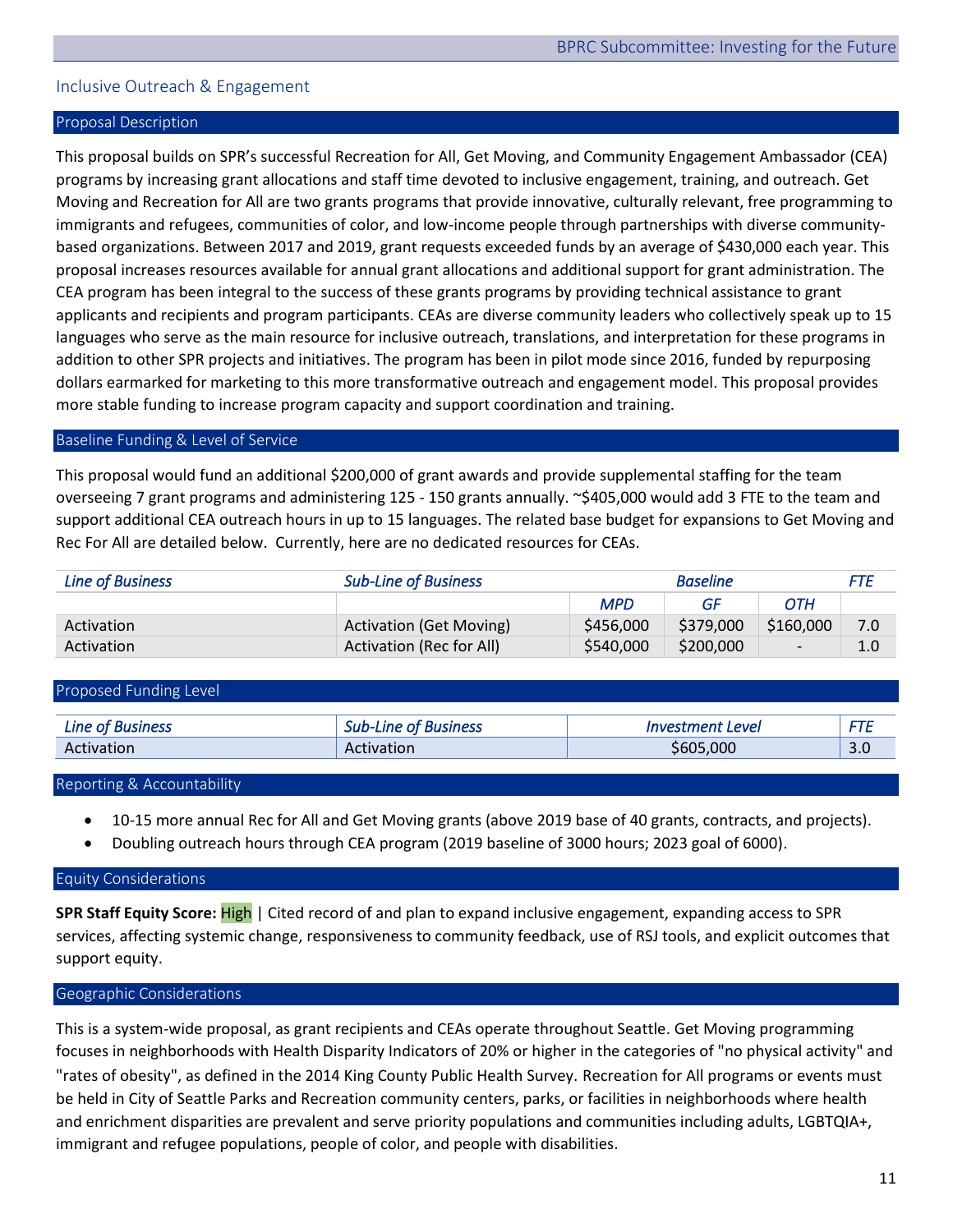# <span id="page-11-0"></span>Inclusive Outreach & Engagement

## Proposal Description

This proposal builds on SPR's successful Recreation for All, Get Moving, and Community Engagement Ambassador (CEA) programs by increasing grant allocations and staff time devoted to inclusive engagement, training, and outreach. Get Moving and Recreation for All are two grants programs that provide innovative, culturally relevant, free programming to immigrants and refugees, communities of color, and low-income people through partnerships with diverse communitybased organizations. Between 2017 and 2019, grant requests exceeded funds by an average of \$430,000 each year. This proposal increases resources available for annual grant allocations and additional support for grant administration. The CEA program has been integral to the success of these grants programs by providing technical assistance to grant applicants and recipients and program participants. CEAs are diverse community leaders who collectively speak up to 15 languages who serve as the main resource for inclusive outreach, translations, and interpretation for these programs in addition to other SPR projects and initiatives. The program has been in pilot mode since 2016, funded by repurposing dollars earmarked for marketing to this more transformative outreach and engagement model. This proposal provides more stable funding to increase program capacity and support coordination and training.

#### Baseline Funding & Level of Service

This proposal would fund an additional \$200,000 of grant awards and provide supplemental staffing for the team overseeing 7 grant programs and administering 125 - 150 grants annually. ~\$405,000 would add 3 FTE to the team and support additional CEA outreach hours in up to 15 languages. The related base budget for expansions to Get Moving and Rec For All are detailed below. Currently, here are no dedicated resources for CEAs.

| <b>Line of Business</b> | <b>Sub-Line of Business</b>     | <b>Baseline</b> |           | FTE                      |     |
|-------------------------|---------------------------------|-----------------|-----------|--------------------------|-----|
|                         |                                 | <b>MPD</b>      | GF        | OTH                      |     |
| Activation              | <b>Activation (Get Moving)</b>  | \$456,000       | \$379,000 | \$160,000                | 7.0 |
| Activation              | <b>Activation (Rec for All)</b> | \$540,000       | \$200,000 | $\overline{\phantom{a}}$ | 1.0 |

Proposed Funding Level *Line of Business Sub-Line of Business Investment Level FTE*  Activation | Activation | \$605,000 | 3.0

#### Reporting & Accountability

- 10-15 more annual Rec for All and Get Moving grants (above 2019 base of 40 grants, contracts, and projects).
- Doubling outreach hours through CEA program (2019 baseline of 3000 hours; 2023 goal of 6000).

#### Equity Considerations

**SPR Staff Equity Score:** High | Cited record of and plan to expand inclusive engagement, expanding access to SPR services, affecting systemic change, responsiveness to community feedback, use of RSJ tools, and explicit outcomes that support equity.

#### Geographic Considerations

This is a system-wide proposal, as grant recipients and CEAs operate throughout Seattle. Get Moving programming focuses in neighborhoods with Health Disparity Indicators of 20% or higher in the categories of "no physical activity" and "rates of obesity", as defined in the 2014 King County Public Health Survey. Recreation for All programs or events must be held in City of Seattle Parks and Recreation community centers, parks, or facilities in neighborhoods where health and enrichment disparities are prevalent and serve priority populations and communities including adults, LGBTQIA+, immigrant and refugee populations, people of color, and people with disabilities.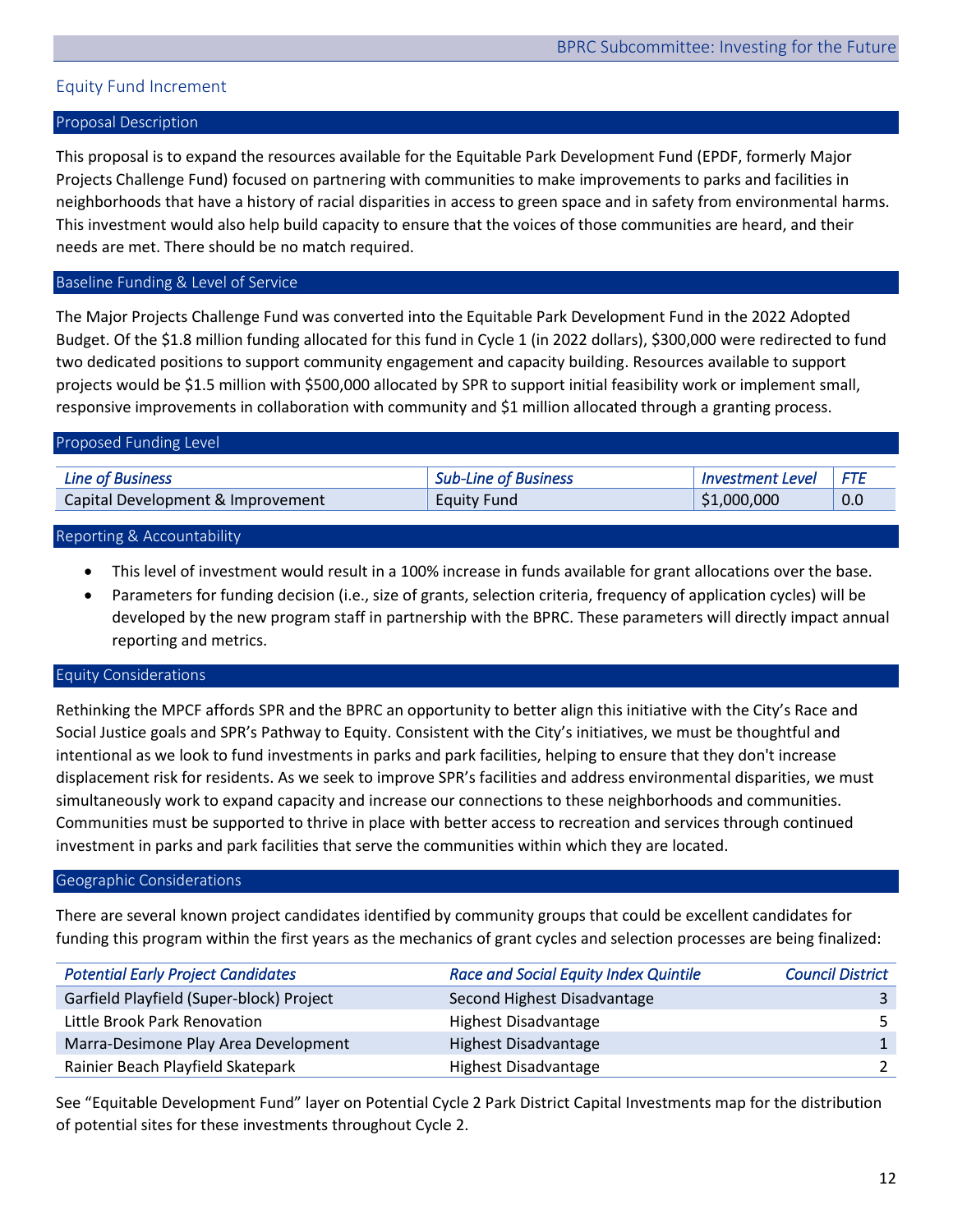# <span id="page-12-0"></span>Equity Fund Increment

### Proposal Description

This proposal is to expand the resources available for the Equitable Park Development Fund (EPDF, formerly Major Projects Challenge Fund) focused on partnering with communities to make improvements to parks and facilities in neighborhoods that have a history of racial disparities in access to green space and in safety from environmental harms. This investment would also help build capacity to ensure that the voices of those communities are heard, and their needs are met. There should be no match required.

# Baseline Funding & Level of Service

The Major Projects Challenge Fund was converted into the Equitable Park Development Fund in the 2022 Adopted Budget. Of the \$1.8 million funding allocated for this fund in Cycle 1 (in 2022 dollars), \$300,000 were redirected to fund two dedicated positions to support community engagement and capacity building. Resources available to support projects would be \$1.5 million with \$500,000 allocated by SPR to support initial feasibility work or implement small, responsive improvements in collaboration with community and \$1 million allocated through a granting process.

| Proposed Funding Level            |                             |                         |     |  |
|-----------------------------------|-----------------------------|-------------------------|-----|--|
| <b>Line of Business</b>           | <b>Sub-Line of Business</b> | <b>Investment Level</b> | FTF |  |
| Capital Development & Improvement | <b>Equity Fund</b>          | \$1,000,000             | 0.0 |  |
|                                   |                             |                         |     |  |

## Reporting & Accountability

- This level of investment would result in a 100% increase in funds available for grant allocations over the base.
- Parameters for funding decision (i.e., size of grants, selection criteria, frequency of application cycles) will be developed by the new program staff in partnership with the BPRC. These parameters will directly impact annual reporting and metrics.

## Equity Considerations

Rethinking the MPCF affords SPR and the BPRC an opportunity to better align this initiative with the City's Race and Social Justice goals and SPR's Pathway to Equity. Consistent with the City's initiatives, we must be thoughtful and intentional as we look to fund investments in parks and park facilities, helping to ensure that they don't increase displacement risk for residents. As we seek to improve SPR's facilities and address environmental disparities, we must simultaneously work to expand capacity and increase our connections to these neighborhoods and communities. Communities must be supported to thrive in place with better access to recreation and services through continued investment in parks and park facilities that serve the communities within which they are located.

#### Geographic Considerations

There are several known project candidates identified by community groups that could be excellent candidates for funding this program within the first years as the mechanics of grant cycles and selection processes are being finalized:

| <b>Potential Early Project Candidates</b> | <b>Race and Social Equity Index Quintile</b> | <b>Council District</b> |
|-------------------------------------------|----------------------------------------------|-------------------------|
| Garfield Playfield (Super-block) Project  | Second Highest Disadvantage                  |                         |
| Little Brook Park Renovation              | Highest Disadvantage                         |                         |
| Marra-Desimone Play Area Development      | Highest Disadvantage                         | 1                       |
| Rainier Beach Playfield Skatepark         | Highest Disadvantage                         | $\mathcal{P}$           |

See "Equitable Development Fund" layer on Potential Cycle 2 Park District Capital Investments map for the distribution of potential sites for these investments throughout Cycle 2.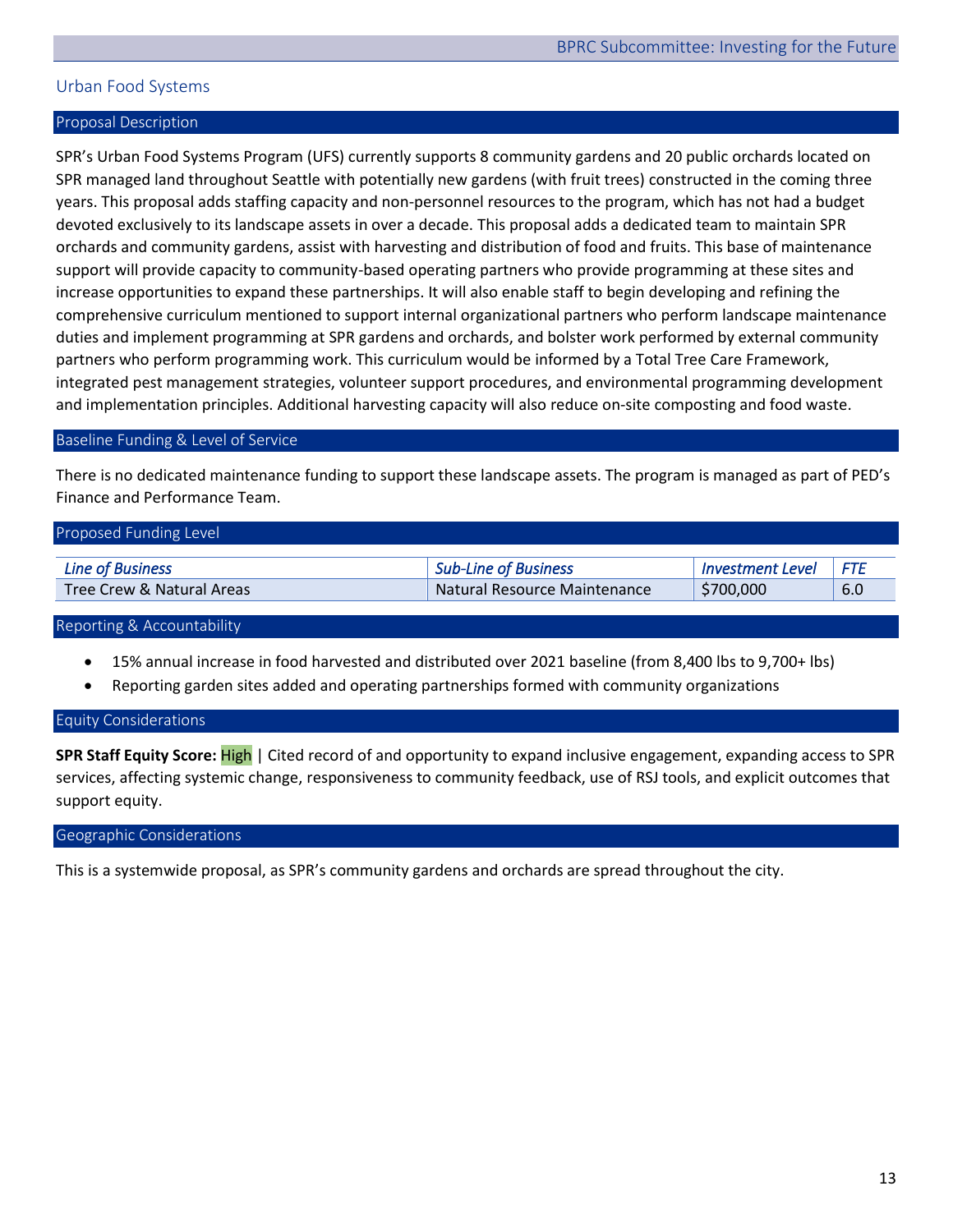# <span id="page-13-0"></span>Urban Food Systems

#### Proposal Description

SPR's Urban Food Systems Program (UFS) currently supports 8 community gardens and 20 public orchards located on SPR managed land throughout Seattle with potentially new gardens (with fruit trees) constructed in the coming three years. This proposal adds staffing capacity and non-personnel resources to the program, which has not had a budget devoted exclusively to its landscape assets in over a decade. This proposal adds a dedicated team to maintain SPR orchards and community gardens, assist with harvesting and distribution of food and fruits. This base of maintenance support will provide capacity to community-based operating partners who provide programming at these sites and increase opportunities to expand these partnerships. It will also enable staff to begin developing and refining the comprehensive curriculum mentioned to support internal organizational partners who perform landscape maintenance duties and implement programming at SPR gardens and orchards, and bolster work performed by external community partners who perform programming work. This curriculum would be informed by a Total Tree Care Framework, integrated pest management strategies, volunteer support procedures, and environmental programming development and implementation principles. Additional harvesting capacity will also reduce on-site composting and food waste.

#### Baseline Funding & Level of Service

There is no dedicated maintenance funding to support these landscape assets. The program is managed as part of PED's Finance and Performance Team.

| Proposed Funding Level    |                              |                         |       |  |  |
|---------------------------|------------------------------|-------------------------|-------|--|--|
| <b>Line of Business</b>   | <b>Sub-Line of Business</b>  | <b>Investment Level</b> | l FTF |  |  |
| Tree Crew & Natural Areas | Natural Resource Maintenance | \$700,000               | 6.0   |  |  |

Reporting & Accountability

- 15% annual increase in food harvested and distributed over 2021 baseline (from 8,400 lbs to 9,700+ lbs)
- Reporting garden sites added and operating partnerships formed with community organizations

#### Equity Considerations

**SPR Staff Equity Score:** High | Cited record of and opportunity to expand inclusive engagement, expanding access to SPR services, affecting systemic change, responsiveness to community feedback, use of RSJ tools, and explicit outcomes that support equity.

#### Geographic Considerations

This is a systemwide proposal, as SPR's community gardens and orchards are spread throughout the city.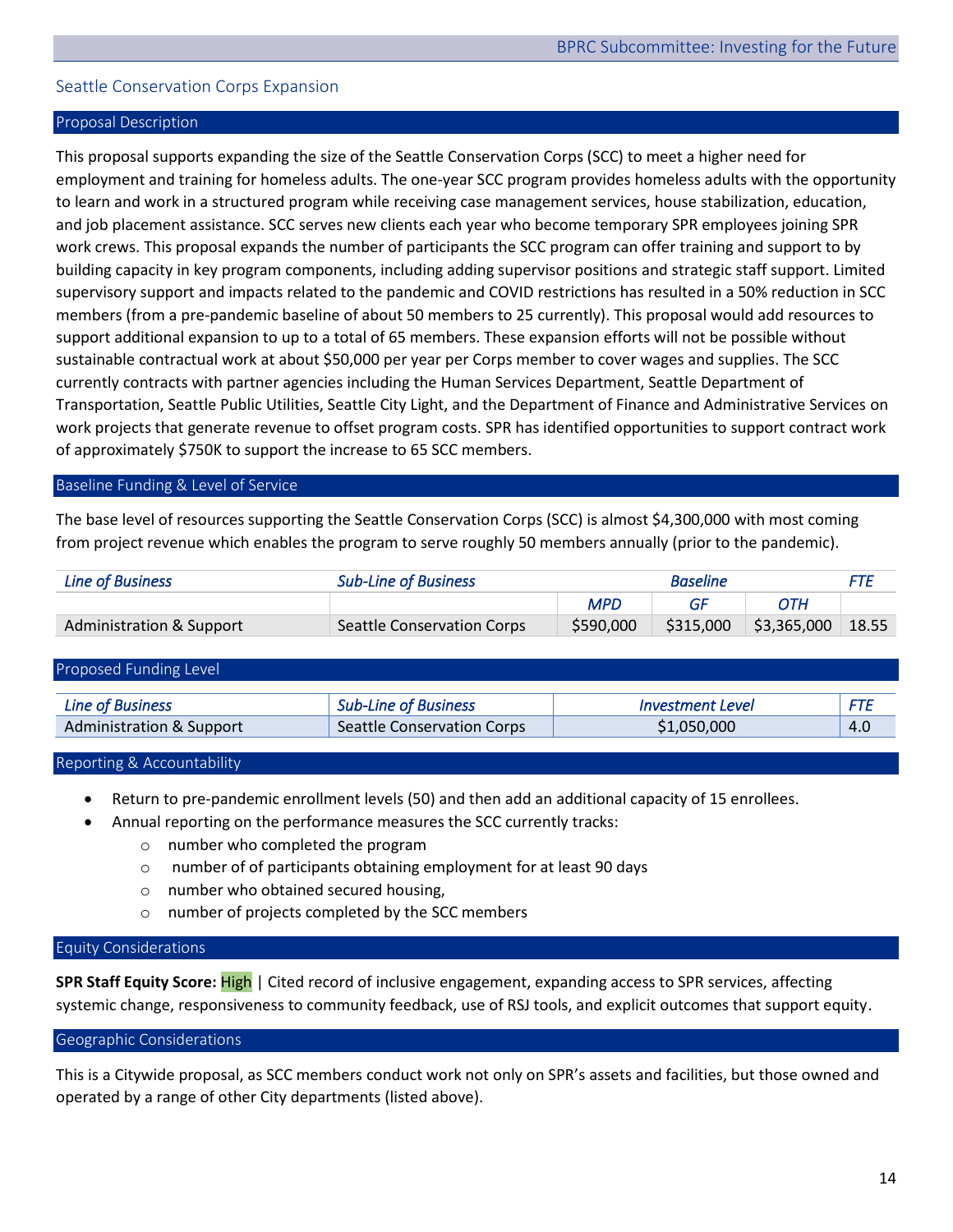# <span id="page-14-0"></span>Seattle Conservation Corps Expansion

## Proposal Description

This proposal supports expanding the size of the Seattle Conservation Corps (SCC) to meet a higher need for employment and training for homeless adults. The one-year SCC program provides homeless adults with the opportunity to learn and work in a structured program while receiving case management services, house stabilization, education, and job placement assistance. SCC serves new clients each year who become temporary SPR employees joining SPR work crews. This proposal expands the number of participants the SCC program can offer training and support to by building capacity in key program components, including adding supervisor positions and strategic staff support. Limited supervisory support and impacts related to the pandemic and COVID restrictions has resulted in a 50% reduction in SCC members (from a pre-pandemic baseline of about 50 members to 25 currently). This proposal would add resources to support additional expansion to up to a total of 65 members. These expansion efforts will not be possible without sustainable contractual work at about \$50,000 per year per Corps member to cover wages and supplies. The SCC currently contracts with partner agencies including the Human Services Department, Seattle Department of Transportation, Seattle Public Utilities, Seattle City Light, and the Department of Finance and Administrative Services on work projects that generate revenue to offset program costs. SPR has identified opportunities to support contract work of approximately \$750K to support the increase to 65 SCC members.

#### Baseline Funding & Level of Service

The base level of resources supporting the Seattle Conservation Corps (SCC) is almost \$4,300,000 with most coming from project revenue which enables the program to serve roughly 50 members annually (prior to the pandemic).

| <b>Line of Business</b>  | <b>Sub-Line of Business</b> | <b>Baseline</b> |    | FTE                   |       |
|--------------------------|-----------------------------|-----------------|----|-----------------------|-------|
|                          |                             | <b>MPD</b>      | GF | ОТН                   |       |
| Administration & Support | Seattle Conservation Corps  | \$590,000       |    | \$315,000 \$3,365,000 | 18.55 |

| Proposed Funding Level              |                                   |                  |     |
|-------------------------------------|-----------------------------------|------------------|-----|
| <b>Line of Business</b>             | <b>Sub-Line of Business</b>       | Investment Level |     |
| <b>Administration &amp; Support</b> | <b>Seattle Conservation Corps</b> | \$1,050,000      | 4.0 |

#### Reporting & Accountability

- Return to pre-pandemic enrollment levels (50) and then add an additional capacity of 15 enrollees.
- Annual reporting on the performance measures the SCC currently tracks:
	- o number who completed the program
	- o number of of participants obtaining employment for at least 90 days
	- o number who obtained secured housing,
	- o number of projects completed by the SCC members

#### Equity Considerations

**SPR Staff Equity Score:** High | Cited record of inclusive engagement, expanding access to SPR services, affecting systemic change, responsiveness to community feedback, use of RSJ tools, and explicit outcomes that support equity.

#### Geographic Considerations

This is a Citywide proposal, as SCC members conduct work not only on SPR's assets and facilities, but those owned and operated by a range of other City departments (listed above).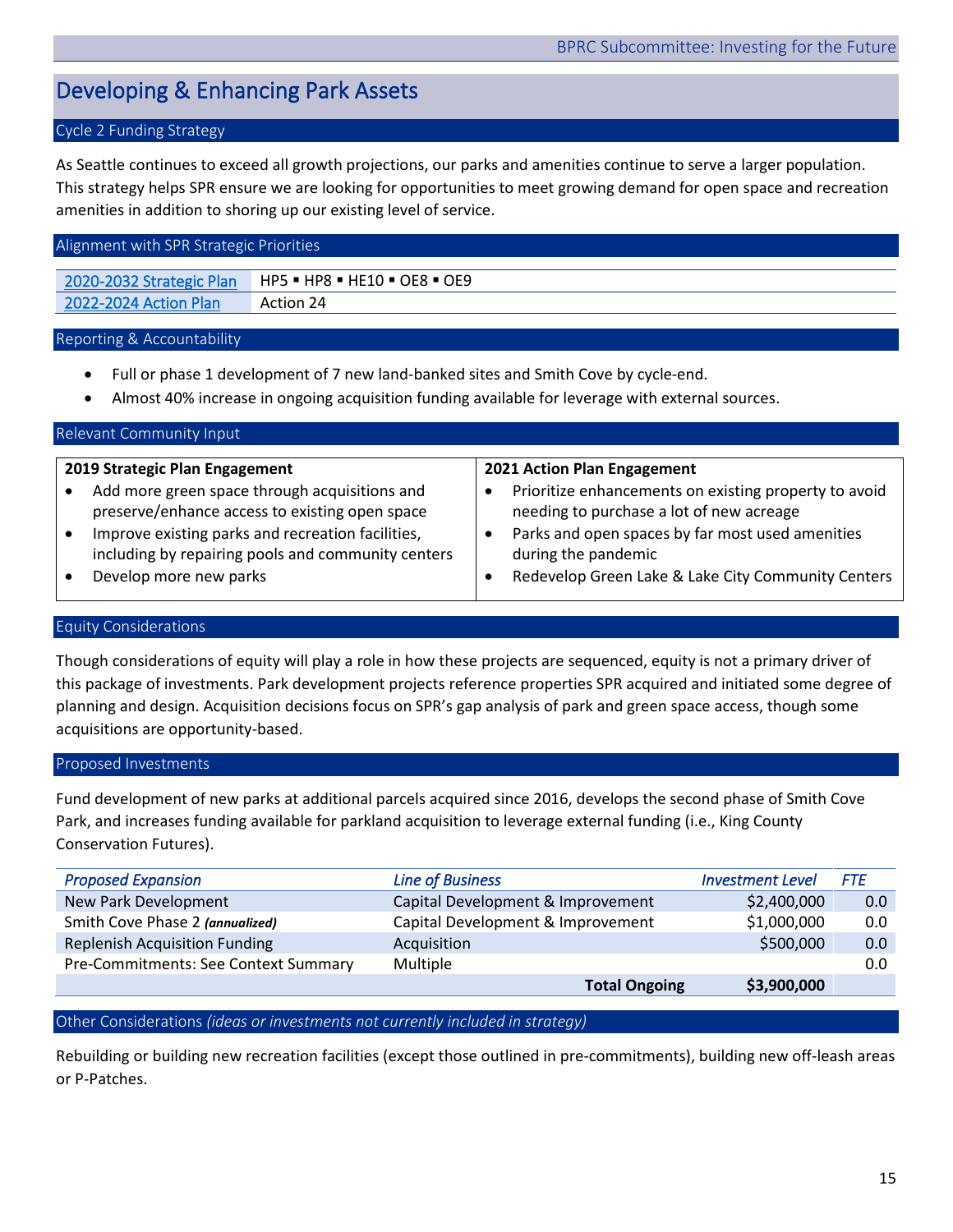# <span id="page-15-0"></span>Developing & Enhancing Park Assets

# Cycle 2 Funding Strategy

As Seattle continues to exceed all growth projections, our parks and amenities continue to serve a larger population. This strategy helps SPR ensure we are looking for opportunities to meet growing demand for open space and recreation amenities in addition to shoring up our existing level of service.

#### Alignment with SPR Strategic Priorities

[2020-2032 Strategic Plan](https://www.seattle.gov/Documents/Departments/ParksAndRecreation/PoliciesPlanning/SPR_Strategic_Plan.03.27.2020.pdf) | HP5 · HP8 · HE10 · OE8 · OE9 [2022-2024 Action Plan](https://www.seattle.gov/Documents/Departments/ParksAndRecreation/BRPC/2022-2024%20Action%20Plan_031022.pdf) Action 24

#### Reporting & Accountability

- Full or phase 1 development of 7 new land-banked sites and Smith Cove by cycle-end.
- Almost 40% increase in ongoing acquisition funding available for leverage with external sources.

#### Relevant Community Input **2019 Strategic Plan Engagement** • Add more green space through acquisitions and preserve/enhance access to existing open space • Improve existing parks and recreation facilities, including by repairing pools and community centers **2021 Action Plan Engagement** • Prioritize enhancements on existing property to avoid needing to purchase a lot of new acreage • Parks and open spaces by far most used amenities during the pandemic

• Develop more new parks

• Redevelop Green Lake & Lake City Community Centers

#### Equity Considerations

Though considerations of equity will play a role in how these projects are sequenced, equity is not a primary driver of this package of investments. Park development projects reference properties SPR acquired and initiated some degree of planning and design. Acquisition decisions focus on SPR's gap analysis of park and green space access, though some acquisitions are opportunity-based.

#### Proposed Investments

Fund development of new parks at additional parcels acquired since 2016, develops the second phase of Smith Cove Park, and increases funding available for parkland acquisition to leverage external funding (i.e., King County Conservation Futures).

| <b>Proposed Expansion</b>                                            | <b>Line of Business</b> | <b>Investment Level</b> | FTE |
|----------------------------------------------------------------------|-------------------------|-------------------------|-----|
| New Park Development<br>Capital Development & Improvement            |                         | \$2,400,000             | 0.0 |
| Smith Cove Phase 2 (annualized)<br>Capital Development & Improvement |                         | \$1,000,000             | 0.0 |
| <b>Replenish Acquisition Funding</b>                                 | Acquisition             | \$500,000               | 0.0 |
| Pre-Commitments: See Context Summary                                 | Multiple                |                         | 0.0 |
|                                                                      | <b>Total Ongoing</b>    | \$3,900,000             |     |

## Other Considerations *(ideas or investments not currently included in strategy)*

Rebuilding or building new recreation facilities (except those outlined in pre-commitments), building new off-leash areas or P-Patches.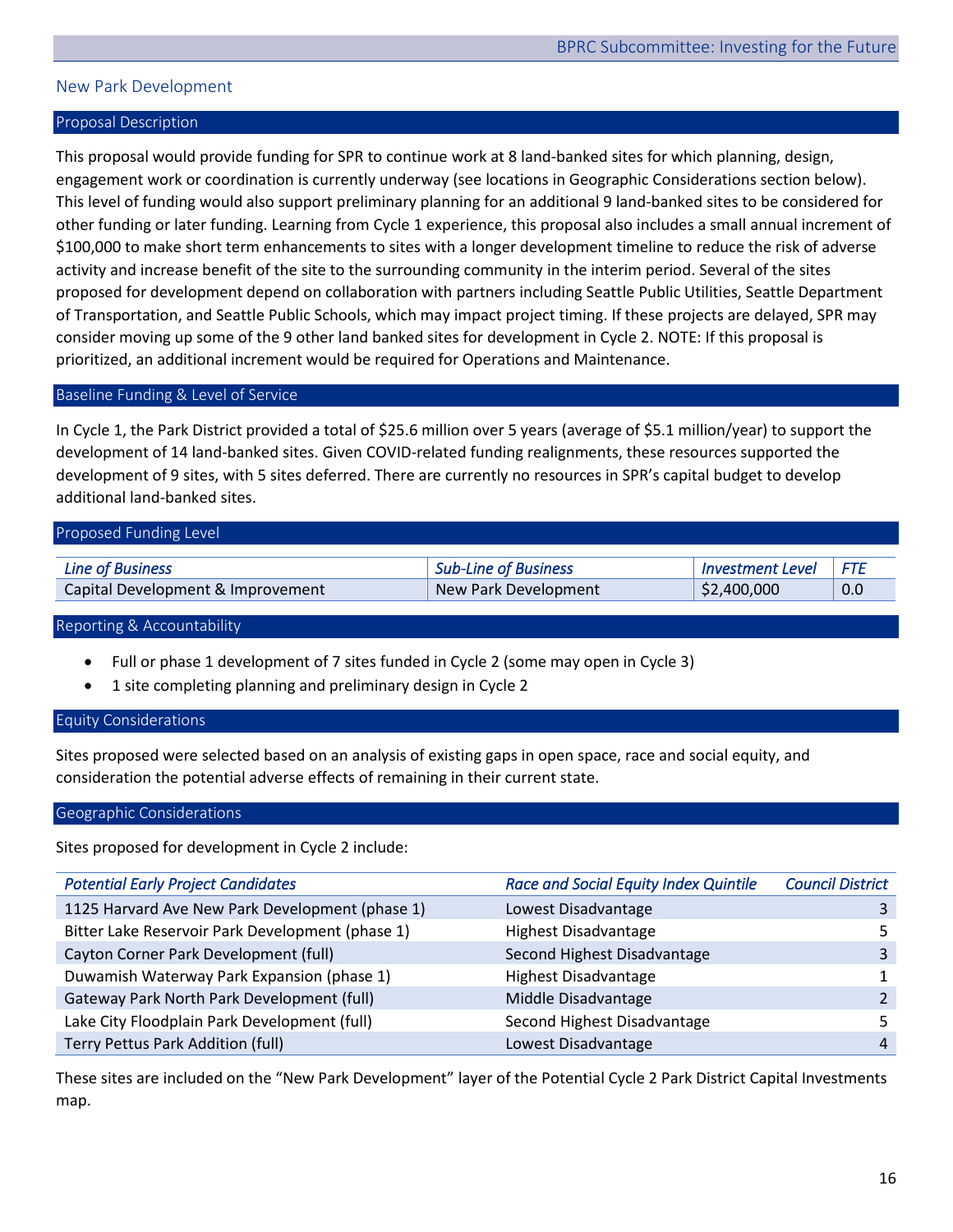# <span id="page-16-0"></span>New Park Development

# Proposal Description

This proposal would provide funding for SPR to continue work at 8 land-banked sites for which planning, design, engagement work or coordination is currently underway (see locations in Geographic Considerations section below). This level of funding would also support preliminary planning for an additional 9 land-banked sites to be considered for other funding or later funding. Learning from Cycle 1 experience, this proposal also includes a small annual increment of \$100,000 to make short term enhancements to sites with a longer development timeline to reduce the risk of adverse activity and increase benefit of the site to the surrounding community in the interim period. Several of the sites proposed for development depend on collaboration with partners including Seattle Public Utilities, Seattle Department of Transportation, and Seattle Public Schools, which may impact project timing. If these projects are delayed, SPR may consider moving up some of the 9 other land banked sites for development in Cycle 2. NOTE: If this proposal is prioritized, an additional increment would be required for Operations and Maintenance.

#### Baseline Funding & Level of Service

In Cycle 1, the Park District provided a total of \$25.6 million over 5 years (average of \$5.1 million/year) to support the development of 14 land-banked sites. Given COVID-related funding realignments, these resources supported the development of 9 sites, with 5 sites deferred. There are currently no resources in SPR's capital budget to develop additional land-banked sites.

| Proposed Funding Level            |                             |                         |     |  |  |
|-----------------------------------|-----------------------------|-------------------------|-----|--|--|
|                                   |                             |                         |     |  |  |
| <b>Line of Business</b>           | <b>Sub-Line of Business</b> | <b>Investment Level</b> | FTF |  |  |
| Capital Development & Improvement | New Park Development        | \$2,400,000             | 0.0 |  |  |

Reporting & Accountability

- Full or phase 1 development of 7 sites funded in Cycle 2 (some may open in Cycle 3)
- 1 site completing planning and preliminary design in Cycle 2

#### Equity Considerations

Sites proposed were selected based on an analysis of existing gaps in open space, race and social equity, and consideration the potential adverse effects of remaining in their current state.

#### Geographic Considerations

Sites proposed for development in Cycle 2 include:

| <b>Potential Early Project Candidates</b>        | <b>Race and Social Equity Index Quintile</b> | <b>Council District</b> |
|--------------------------------------------------|----------------------------------------------|-------------------------|
| 1125 Harvard Ave New Park Development (phase 1)  | Lowest Disadvantage                          |                         |
| Bitter Lake Reservoir Park Development (phase 1) | <b>Highest Disadvantage</b>                  |                         |
| Cayton Corner Park Development (full)            | Second Highest Disadvantage                  |                         |
| Duwamish Waterway Park Expansion (phase 1)       | <b>Highest Disadvantage</b>                  |                         |
| Gateway Park North Park Development (full)       | Middle Disadvantage                          |                         |
| Lake City Floodplain Park Development (full)     | Second Highest Disadvantage                  |                         |
| Terry Pettus Park Addition (full)                | Lowest Disadvantage                          | 4                       |

These sites are included on the "New Park Development" layer of the Potential Cycle 2 Park District Capital Investments map.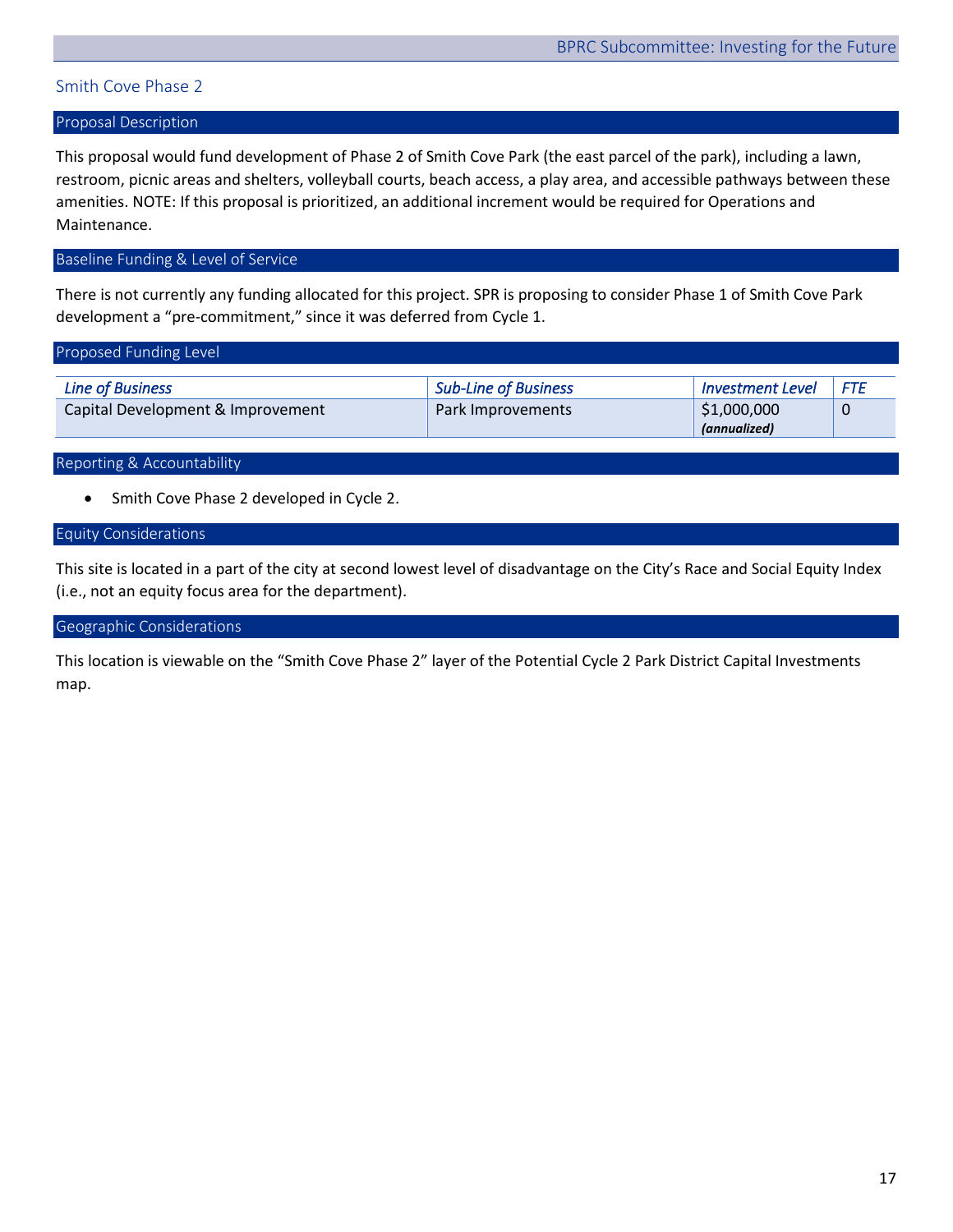# <span id="page-17-0"></span>Smith Cove Phase 2

## Proposal Description

This proposal would fund development of Phase 2 of Smith Cove Park (the east parcel of the park), including a lawn, restroom, picnic areas and shelters, volleyball courts, beach access, a play area, and accessible pathways between these amenities. NOTE: If this proposal is prioritized, an additional increment would be required for Operations and Maintenance.

# Baseline Funding & Level of Service

There is not currently any funding allocated for this project. SPR is proposing to consider Phase 1 of Smith Cove Park development a "pre-commitment," since it was deferred from Cycle 1.

| Proposed Funding Level            |                      |                         |     |  |  |  |
|-----------------------------------|----------------------|-------------------------|-----|--|--|--|
|                                   |                      |                         |     |  |  |  |
| <b>Line of Business</b>           | Sub-Line of Business | <b>Investment Level</b> | FTE |  |  |  |
| Capital Development & Improvement | Park Improvements    | \$1,000,000             | 0   |  |  |  |
|                                   |                      | (annualized)            |     |  |  |  |

Reporting & Accountability

• Smith Cove Phase 2 developed in Cycle 2.

# Equity Considerations

This site is located in a part of the city at second lowest level of disadvantage on the City's Race and Social Equity Index (i.e., not an equity focus area for the department).

#### Geographic Considerations

This location is viewable on the "Smith Cove Phase 2" layer of the Potential Cycle 2 Park District Capital Investments map.